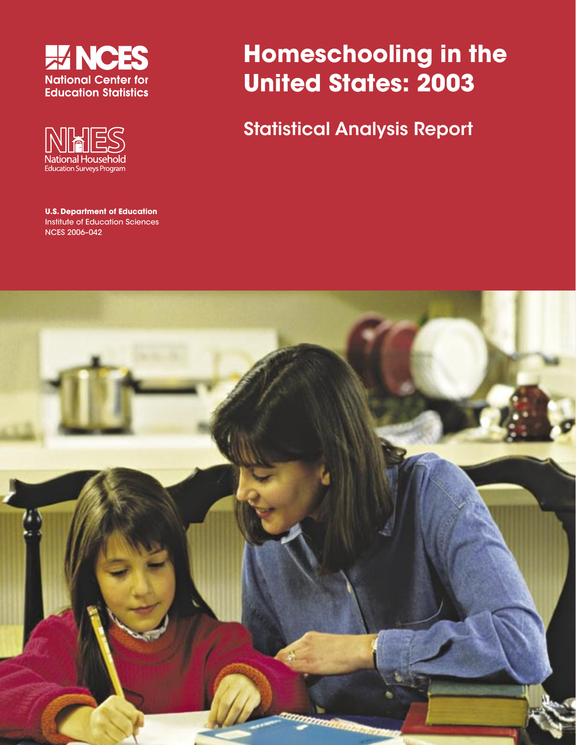



**U.S. Department of Education** Institute of Education Sciences NCES 2006–042

# **Homeschooling in the United States: 2003**

Statistical Analysis Report

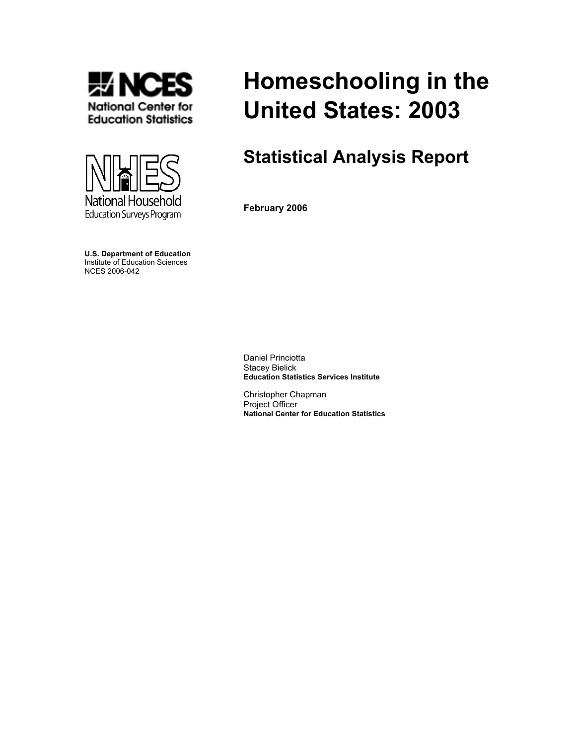



**U.S. Department of Education**  Institute of Education Sciences NCES 2006-042

# **Homeschooling in the United States: 2003**

# **Statistical Analysis Report**

**February 2006** 

Daniel Princiotta Stacey Bielick **Education Statistics Services Institute** 

Christopher Chapman Project Officer **National Center for Education Statistics**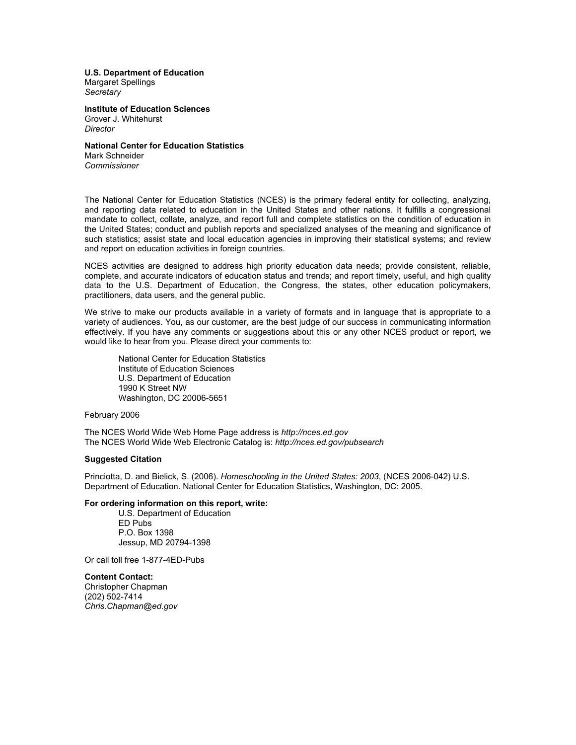**U.S. Department of Education** Margaret Spellings

*Secretary*

**Institute of Education Sciences**  Grover J. Whitehurst *Director* 

**National Center for Education Statistics**  Mark Schneider *Commissioner*

The National Center for Education Statistics (NCES) is the primary federal entity for collecting, analyzing, and reporting data related to education in the United States and other nations. It fulfills a congressional mandate to collect, collate, analyze, and report full and complete statistics on the condition of education in the United States; conduct and publish reports and specialized analyses of the meaning and significance of such statistics; assist state and local education agencies in improving their statistical systems; and review and report on education activities in foreign countries.

NCES activities are designed to address high priority education data needs; provide consistent, reliable, complete, and accurate indicators of education status and trends; and report timely, useful, and high quality data to the U.S. Department of Education, the Congress, the states, other education policymakers, practitioners, data users, and the general public.

We strive to make our products available in a variety of formats and in language that is appropriate to a variety of audiences. You, as our customer, are the best judge of our success in communicating information effectively. If you have any comments or suggestions about this or any other NCES product or report, we would like to hear from you. Please direct your comments to:

 National Center for Education Statistics Institute of Education Sciences U.S. Department of Education 1990 K Street NW Washington, DC 20006-5651

February 2006

The NCES World Wide Web Home Page address is *http://nces.ed.gov* The NCES World Wide Web Electronic Catalog is: *http://nces.ed.gov/pubsearch*

#### **Suggested Citation**

Princiotta, D. and Bielick, S. (2006). *Homeschooling in the United States: 2003*, (NCES 2006-042) U.S. Department of Education. National Center for Education Statistics, Washington, DC: 2005.

#### **For ordering information on this report, write:**

 U.S. Department of Education ED Pubs P.O. Box 1398 Jessup, MD 20794-1398

Or call toll free 1-877-4ED-Pubs

**Content Contact:** Christopher Chapman (202) 502-7414 *Chris.Chapman@ed.gov*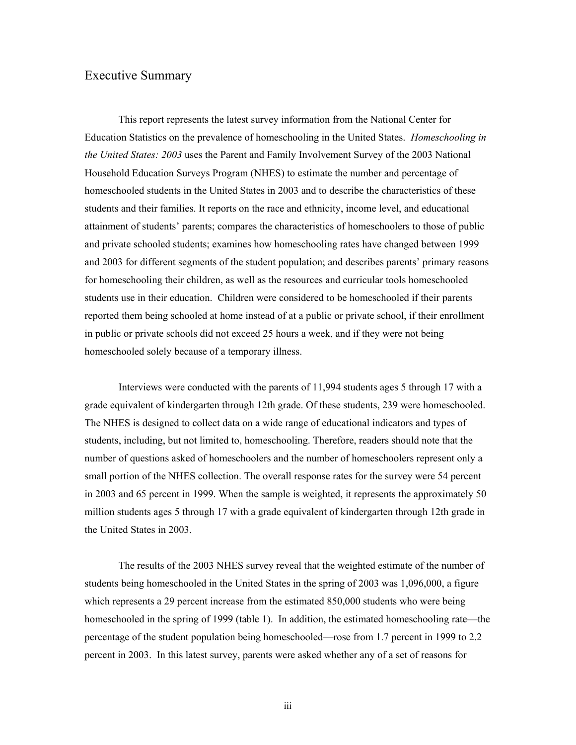# Executive Summary

This report represents the latest survey information from the National Center for Education Statistics on the prevalence of homeschooling in the United States. *Homeschooling in the United States: 2003* uses the Parent and Family Involvement Survey of the 2003 National Household Education Surveys Program (NHES) to estimate the number and percentage of homeschooled students in the United States in 2003 and to describe the characteristics of these students and their families. It reports on the race and ethnicity, income level, and educational attainment of students' parents; compares the characteristics of homeschoolers to those of public and private schooled students; examines how homeschooling rates have changed between 1999 and 2003 for different segments of the student population; and describes parents' primary reasons for homeschooling their children, as well as the resources and curricular tools homeschooled students use in their education. Children were considered to be homeschooled if their parents reported them being schooled at home instead of at a public or private school, if their enrollment in public or private schools did not exceed 25 hours a week, and if they were not being homeschooled solely because of a temporary illness.

Interviews were conducted with the parents of 11,994 students ages 5 through 17 with a grade equivalent of kindergarten through 12th grade. Of these students, 239 were homeschooled. The NHES is designed to collect data on a wide range of educational indicators and types of students, including, but not limited to, homeschooling. Therefore, readers should note that the number of questions asked of homeschoolers and the number of homeschoolers represent only a small portion of the NHES collection. The overall response rates for the survey were 54 percent in 2003 and 65 percent in 1999. When the sample is weighted, it represents the approximately 50 million students ages 5 through 17 with a grade equivalent of kindergarten through 12th grade in the United States in 2003.

The results of the 2003 NHES survey reveal that the weighted estimate of the number of students being homeschooled in the United States in the spring of 2003 was 1,096,000, a figure which represents a 29 percent increase from the estimated 850,000 students who were being homeschooled in the spring of 1999 (table 1). In addition, the estimated homeschooling rate—the percentage of the student population being homeschooled—rose from 1.7 percent in 1999 to 2.2 percent in 2003. In this latest survey, parents were asked whether any of a set of reasons for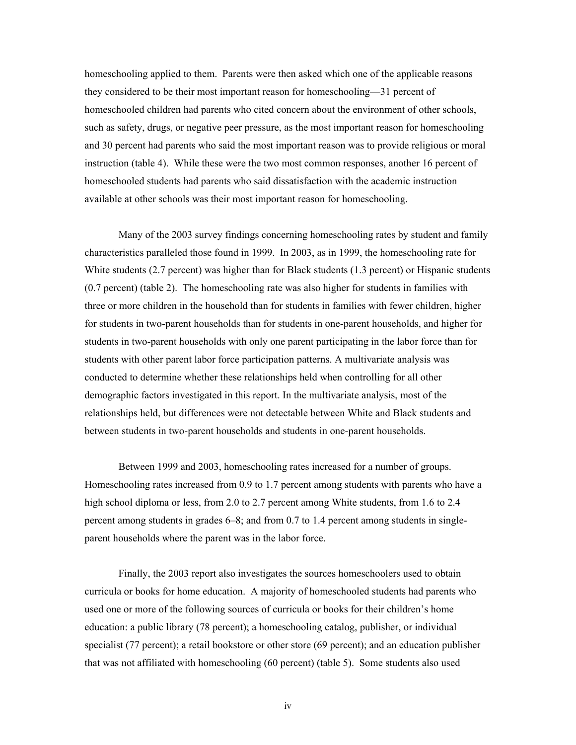homeschooling applied to them. Parents were then asked which one of the applicable reasons they considered to be their most important reason for homeschooling—31 percent of homeschooled children had parents who cited concern about the environment of other schools, such as safety, drugs, or negative peer pressure, as the most important reason for homeschooling and 30 percent had parents who said the most important reason was to provide religious or moral instruction (table 4). While these were the two most common responses, another 16 percent of homeschooled students had parents who said dissatisfaction with the academic instruction available at other schools was their most important reason for homeschooling.

 Many of the 2003 survey findings concerning homeschooling rates by student and family characteristics paralleled those found in 1999. In 2003, as in 1999, the homeschooling rate for White students (2.7 percent) was higher than for Black students (1.3 percent) or Hispanic students (0.7 percent) (table 2). The homeschooling rate was also higher for students in families with three or more children in the household than for students in families with fewer children, higher for students in two-parent households than for students in one-parent households, and higher for students in two-parent households with only one parent participating in the labor force than for students with other parent labor force participation patterns. A multivariate analysis was conducted to determine whether these relationships held when controlling for all other demographic factors investigated in this report. In the multivariate analysis, most of the relationships held, but differences were not detectable between White and Black students and between students in two-parent households and students in one-parent households.

Between 1999 and 2003, homeschooling rates increased for a number of groups. Homeschooling rates increased from 0.9 to 1.7 percent among students with parents who have a high school diploma or less, from 2.0 to 2.7 percent among White students, from 1.6 to 2.4 percent among students in grades 6–8; and from 0.7 to 1.4 percent among students in singleparent households where the parent was in the labor force.

Finally, the 2003 report also investigates the sources homeschoolers used to obtain curricula or books for home education. A majority of homeschooled students had parents who used one or more of the following sources of curricula or books for their children's home education: a public library (78 percent); a homeschooling catalog, publisher, or individual specialist (77 percent); a retail bookstore or other store (69 percent); and an education publisher that was not affiliated with homeschooling (60 percent) (table 5). Some students also used

iv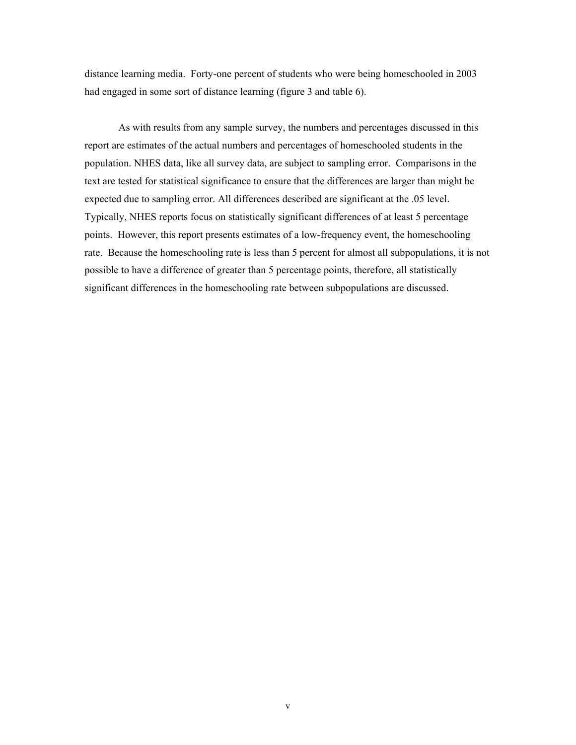distance learning media. Forty-one percent of students who were being homeschooled in 2003 had engaged in some sort of distance learning (figure 3 and table 6).

As with results from any sample survey, the numbers and percentages discussed in this report are estimates of the actual numbers and percentages of homeschooled students in the population. NHES data, like all survey data, are subject to sampling error. Comparisons in the text are tested for statistical significance to ensure that the differences are larger than might be expected due to sampling error. All differences described are significant at the .05 level. Typically, NHES reports focus on statistically significant differences of at least 5 percentage points. However, this report presents estimates of a low-frequency event, the homeschooling rate. Because the homeschooling rate is less than 5 percent for almost all subpopulations, it is not possible to have a difference of greater than 5 percentage points, therefore, all statistically significant differences in the homeschooling rate between subpopulations are discussed.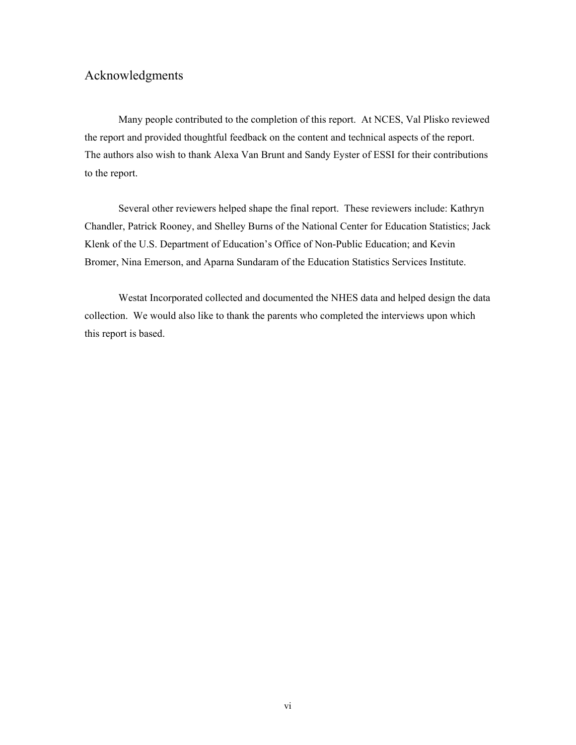# Acknowledgments

Many people contributed to the completion of this report. At NCES, Val Plisko reviewed the report and provided thoughtful feedback on the content and technical aspects of the report. The authors also wish to thank Alexa Van Brunt and Sandy Eyster of ESSI for their contributions to the report.

Several other reviewers helped shape the final report. These reviewers include: Kathryn Chandler, Patrick Rooney, and Shelley Burns of the National Center for Education Statistics; Jack Klenk of the U.S. Department of Education's Office of Non-Public Education; and Kevin Bromer, Nina Emerson, and Aparna Sundaram of the Education Statistics Services Institute.

Westat Incorporated collected and documented the NHES data and helped design the data collection. We would also like to thank the parents who completed the interviews upon which this report is based.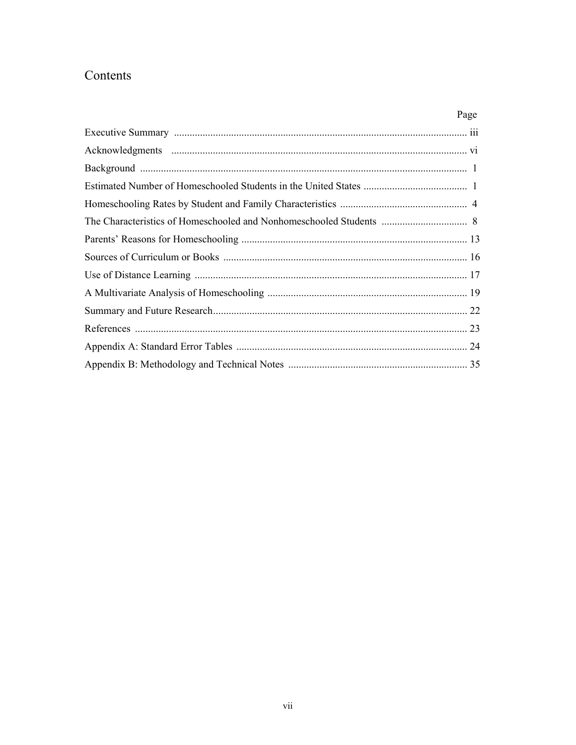# Contents

| Page |
|------|
|      |
|      |
|      |
|      |
|      |
|      |
|      |
|      |
|      |
|      |
|      |
|      |
|      |
|      |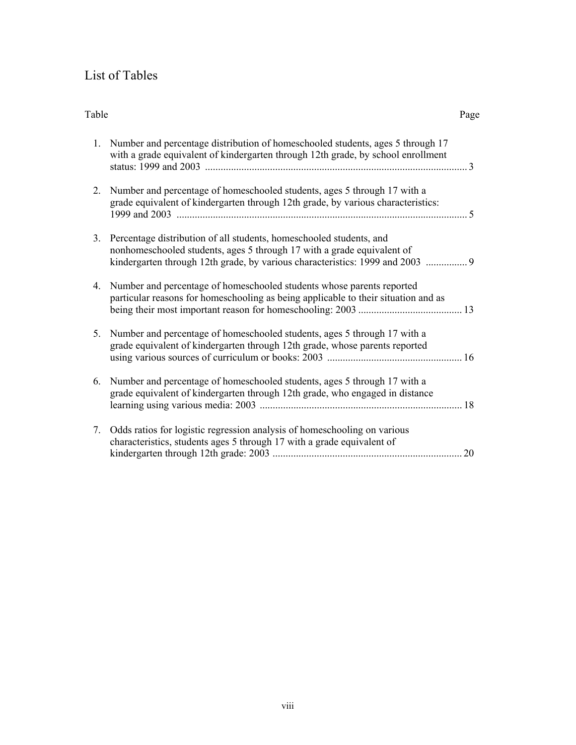# List of Tables

| Table |                                                                                                                                                                                                                                | Page          |
|-------|--------------------------------------------------------------------------------------------------------------------------------------------------------------------------------------------------------------------------------|---------------|
| 1.    | Number and percentage distribution of homeschooled students, ages 5 through 17<br>with a grade equivalent of kindergarten through 12th grade, by school enrollment                                                             | $\mathcal{E}$ |
| 2.    | Number and percentage of homeschooled students, ages 5 through 17 with a<br>grade equivalent of kindergarten through 12th grade, by various characteristics:                                                                   |               |
| 3.    | Percentage distribution of all students, homeschooled students, and<br>nonhomeschooled students, ages 5 through 17 with a grade equivalent of<br>kindergarten through 12th grade, by various characteristics: 1999 and 2003  9 |               |
| 4.    | Number and percentage of homeschooled students whose parents reported<br>particular reasons for homeschooling as being applicable to their situation and as                                                                    |               |
| 5.    | Number and percentage of homeschooled students, ages 5 through 17 with a<br>grade equivalent of kindergarten through 12th grade, whose parents reported                                                                        |               |
| 6.    | Number and percentage of homeschooled students, ages 5 through 17 with a<br>grade equivalent of kindergarten through 12th grade, who engaged in distance                                                                       |               |
| 7.    | Odds ratios for logistic regression analysis of homeschooling on various<br>characteristics, students ages 5 through 17 with a grade equivalent of                                                                             | 20            |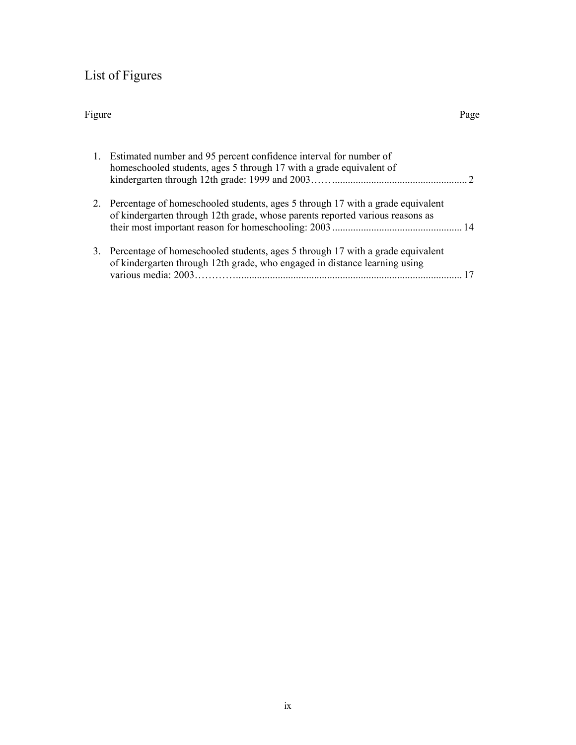# List of Figures

# Figure Page

|    | 1. Estimated number and 95 percent confidence interval for number of<br>homeschooled students, ages 5 through 17 with a grade equivalent of                        |  |
|----|--------------------------------------------------------------------------------------------------------------------------------------------------------------------|--|
|    | 2. Percentage of homeschooled students, ages 5 through 17 with a grade equivalent<br>of kindergarten through 12th grade, whose parents reported various reasons as |  |
| 3. | Percentage of homeschooled students, ages 5 through 17 with a grade equivalent<br>of kindergarten through 12th grade, who engaged in distance learning using       |  |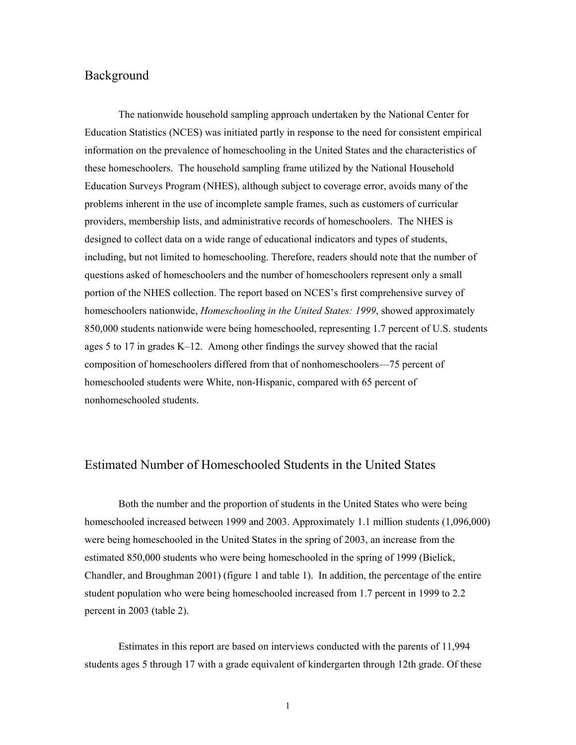# Background

The nationwide household sampling approach undertaken by the National Center for Education Statistics (NCES) was initiated partly in response to the need for consistent empirical information on the prevalence of homeschooling in the United States and the characteristics of these homeschoolers. The household sampling frame utilized by the National Household Education Surveys Program (NHES), although subject to coverage error, avoids many of the problems inherent in the use of incomplete sample frames, such as customers of curricular providers, membership lists, and administrative records of homeschoolers. The NHES is designed to collect data on a wide range of educational indicators and types of students, including, but not limited to homeschooling. Therefore, readers should note that the number of questions asked of homeschoolers and the number of homeschoolers represent only a small portion of the NHES collection. The report based on NCES's first comprehensive survey of homeschoolers nationwide, *Homeschooling in the United States: 1999*, showed approximately 850,000 students nationwide were being homeschooled, representing 1.7 percent of U.S. students ages 5 to 17 in grades K–12. Among other findings the survey showed that the racial composition of homeschoolers differed from that of nonhomeschoolers—75 percent of homeschooled students were White, non-Hispanic, compared with 65 percent of nonhomeschooled students.

# Estimated Number of Homeschooled Students in the United States

Both the number and the proportion of students in the United States who were being homeschooled increased between 1999 and 2003. Approximately 1.1 million students (1,096,000) were being homeschooled in the United States in the spring of 2003, an increase from the estimated 850,000 students who were being homeschooled in the spring of 1999 (Bielick, Chandler, and Broughman 2001) (figure 1 and table 1). In addition, the percentage of the entire student population who were being homeschooled increased from 1.7 percent in 1999 to 2.2 percent in 2003 (table 2).

Estimates in this report are based on interviews conducted with the parents of 11,994 students ages 5 through 17 with a grade equivalent of kindergarten through 12th grade. Of these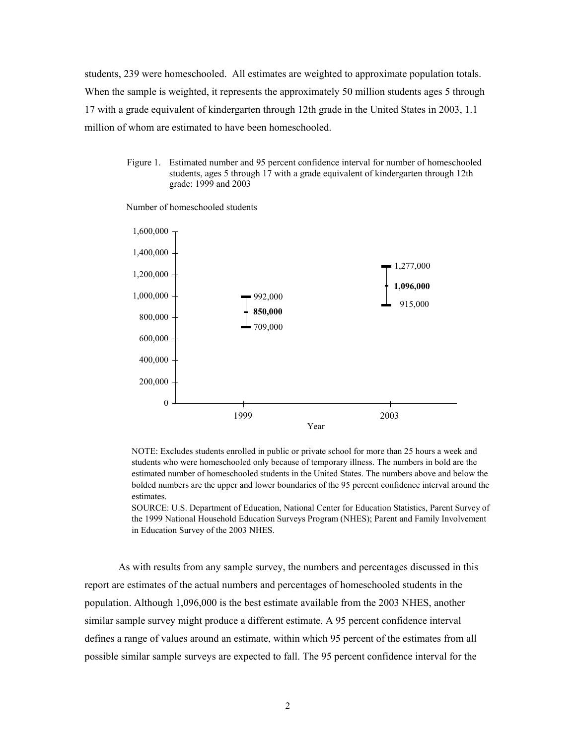students, 239 were homeschooled. All estimates are weighted to approximate population totals. When the sample is weighted, it represents the approximately 50 million students ages 5 through 17 with a grade equivalent of kindergarten through 12th grade in the United States in 2003, 1.1 million of whom are estimated to have been homeschooled.

> Figure 1. Estimated number and 95 percent confidence interval for number of homeschooled students, ages 5 through 17 with a grade equivalent of kindergarten through 12th grade: 1999 and 2003



Number of homeschooled students

NOTE: Excludes students enrolled in public or private school for more than 25 hours a week and students who were homeschooled only because of temporary illness. The numbers in bold are the estimated number of homeschooled students in the United States. The numbers above and below the bolded numbers are the upper and lower boundaries of the 95 percent confidence interval around the estimates.

SOURCE: U.S. Department of Education, National Center for Education Statistics, Parent Survey of the 1999 National Household Education Surveys Program (NHES); Parent and Family Involvement in Education Survey of the 2003 NHES.

As with results from any sample survey, the numbers and percentages discussed in this report are estimates of the actual numbers and percentages of homeschooled students in the population. Although 1,096,000 is the best estimate available from the 2003 NHES, another similar sample survey might produce a different estimate. A 95 percent confidence interval defines a range of values around an estimate, within which 95 percent of the estimates from all possible similar sample surveys are expected to fall. The 95 percent confidence interval for the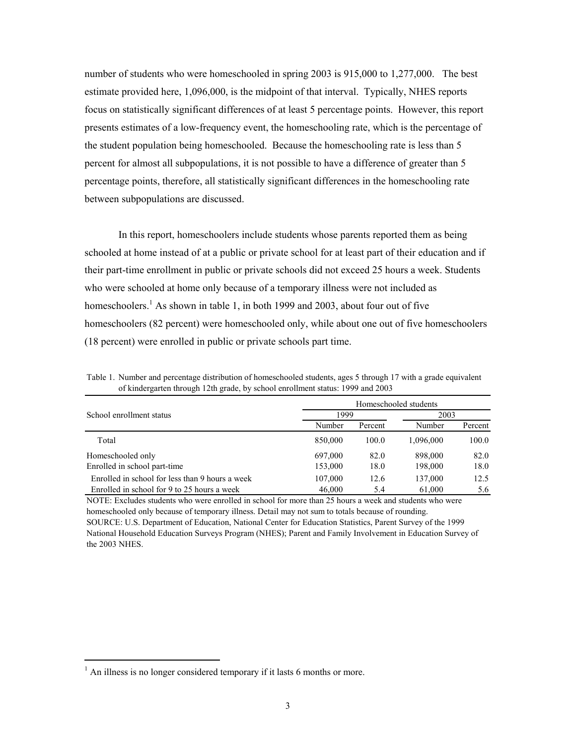number of students who were homeschooled in spring 2003 is 915,000 to 1,277,000. The best estimate provided here, 1,096,000, is the midpoint of that interval. Typically, NHES reports focus on statistically significant differences of at least 5 percentage points. However, this report presents estimates of a low-frequency event, the homeschooling rate, which is the percentage of the student population being homeschooled. Because the homeschooling rate is less than 5 percent for almost all subpopulations, it is not possible to have a difference of greater than 5 percentage points, therefore, all statistically significant differences in the homeschooling rate between subpopulations are discussed.

In this report, homeschoolers include students whose parents reported them as being schooled at home instead of at a public or private school for at least part of their education and if their part-time enrollment in public or private schools did not exceed 25 hours a week. Students who were schooled at home only because of a temporary illness were not included as homeschoolers.<sup>1</sup> As shown in table 1, in both 1999 and 2003, about four out of five homeschoolers (82 percent) were homeschooled only, while about one out of five homeschoolers (18 percent) were enrolled in public or private schools part time.

Table 1. Number and percentage distribution of homeschooled students, ages 5 through 17 with a grade equivalent of kindergarten through 12th grade, by school enrollment status: 1999 and 2003

|                                                 | Homeschooled students |         |           |         |  |  |  |
|-------------------------------------------------|-----------------------|---------|-----------|---------|--|--|--|
| School enrollment status                        | 1999                  |         | 2003      |         |  |  |  |
|                                                 | Number                | Percent | Number    | Percent |  |  |  |
| Total                                           | 850,000               | 100.0   | 1,096,000 | 100.0   |  |  |  |
| Homeschooled only                               | 697,000               | 82.0    | 898,000   | 82.0    |  |  |  |
| Enrolled in school part-time                    | 153,000               | 18.0    | 198,000   | 18.0    |  |  |  |
| Enrolled in school for less than 9 hours a week | 107,000               | 12.6    | 137,000   | 12.5    |  |  |  |
| Enrolled in school for 9 to 25 hours a week     | 46,000                | 5.4     | 61,000    | 5.6     |  |  |  |

NOTE: Excludes students who were enrolled in school for more than 25 hours a week and students who were homeschooled only because of temporary illness. Detail may not sum to totals because of rounding. SOURCE: U.S. Department of Education, National Center for Education Statistics, Parent Survey of the 1999

National Household Education Surveys Program (NHES); Parent and Family Involvement in Education Survey of the 2003 NHES.

 $\overline{a}$ 

 $<sup>1</sup>$  An illness is no longer considered temporary if it lasts 6 months or more.</sup>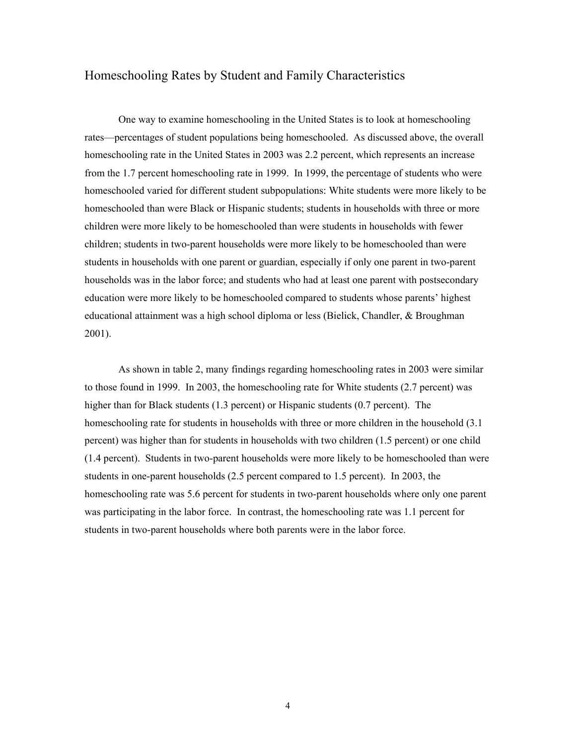# Homeschooling Rates by Student and Family Characteristics

One way to examine homeschooling in the United States is to look at homeschooling rates—percentages of student populations being homeschooled. As discussed above, the overall homeschooling rate in the United States in 2003 was 2.2 percent, which represents an increase from the 1.7 percent homeschooling rate in 1999. In 1999, the percentage of students who were homeschooled varied for different student subpopulations: White students were more likely to be homeschooled than were Black or Hispanic students; students in households with three or more children were more likely to be homeschooled than were students in households with fewer children; students in two-parent households were more likely to be homeschooled than were students in households with one parent or guardian, especially if only one parent in two-parent households was in the labor force; and students who had at least one parent with postsecondary education were more likely to be homeschooled compared to students whose parents' highest educational attainment was a high school diploma or less (Bielick, Chandler, & Broughman 2001).

As shown in table 2, many findings regarding homeschooling rates in 2003 were similar to those found in 1999. In 2003, the homeschooling rate for White students (2.7 percent) was higher than for Black students (1.3 percent) or Hispanic students (0.7 percent). The homeschooling rate for students in households with three or more children in the household (3.1 percent) was higher than for students in households with two children (1.5 percent) or one child (1.4 percent). Students in two-parent households were more likely to be homeschooled than were students in one-parent households (2.5 percent compared to 1.5 percent). In 2003, the homeschooling rate was 5.6 percent for students in two-parent households where only one parent was participating in the labor force. In contrast, the homeschooling rate was 1.1 percent for students in two-parent households where both parents were in the labor force.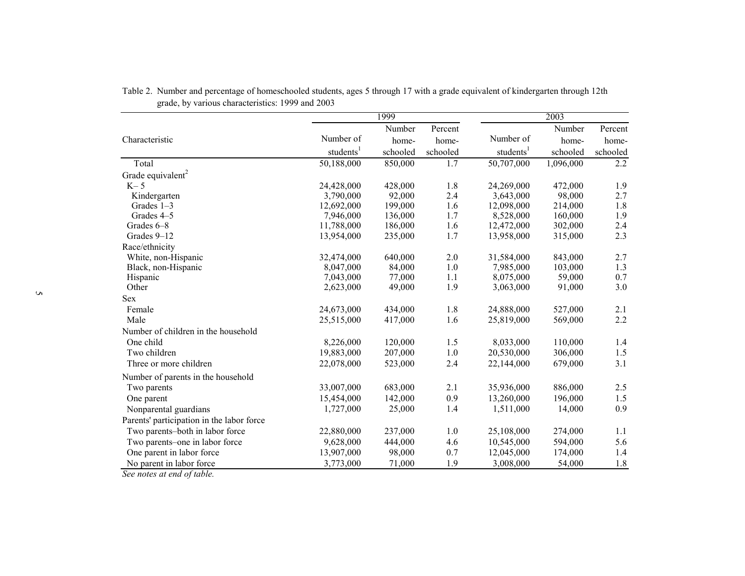|                                              |                       | 1999     |          |                       | 2003      |          |
|----------------------------------------------|-----------------------|----------|----------|-----------------------|-----------|----------|
|                                              |                       | Number   | Percent  |                       | Number    | Percent  |
| Characteristic                               | Number of             | home-    | home-    | Number of             | home-     | home-    |
|                                              | students <sup>1</sup> | schooled | schooled | students <sup>1</sup> | schooled  | schooled |
| Total                                        | 50,188,000            | 850,000  | 1.7      | 50,707,000            | 1,096,000 | 2.2      |
| Grade equivalent <sup>2</sup>                |                       |          |          |                       |           |          |
| $K-5$                                        | 24,428,000            | 428,000  | 1.8      | 24,269,000            | 472,000   | 1.9      |
| Kindergarten                                 | 3,790,000             | 92,000   | 2.4      | 3,643,000             | 98,000    | 2.7      |
| Grades $1-3$                                 | 12,692,000            | 199,000  | 1.6      | 12,098,000            | 214,000   | 1.8      |
| Grades 4-5                                   | 7,946,000             | 136,000  | 1.7      | 8,528,000             | 160,000   | 1.9      |
| Grades 6-8                                   | 11,788,000            | 186,000  | 1.6      | 12,472,000            | 302,000   | 2.4      |
| Grades 9-12                                  | 13,954,000            | 235,000  | 1.7      | 13,958,000            | 315,000   | 2.3      |
| Race/ethnicity                               |                       |          |          |                       |           |          |
| White, non-Hispanic                          | 32,474,000            | 640,000  | 2.0      | 31,584,000            | 843,000   | 2.7      |
| Black, non-Hispanic                          | 8,047,000             | 84,000   | 1.0      | 7,985,000             | 103,000   | 1.3      |
| Hispanic                                     | 7,043,000             | 77,000   | 1.1      | 8,075,000             | 59,000    | 0.7      |
| Other                                        | 2,623,000             | 49,000   | 1.9      | 3,063,000             | 91,000    | 3.0      |
| Sex                                          |                       |          |          |                       |           |          |
| Female                                       | 24,673,000            | 434,000  | 1.8      | 24,888,000            | 527,000   | 2.1      |
| Male                                         | 25,515,000            | 417,000  | 1.6      | 25,819,000            | 569,000   | 2.2      |
| Number of children in the household          |                       |          |          |                       |           |          |
| One child                                    | 8,226,000             | 120,000  | 1.5      | 8,033,000             | 110,000   | 1.4      |
| Two children                                 | 19,883,000            | 207,000  | 1.0      | 20,530,000            | 306,000   | 1.5      |
| Three or more children                       | 22,078,000            | 523,000  | 2.4      | 22,144,000            | 679,000   | 3.1      |
| Number of parents in the household           |                       |          |          |                       |           |          |
| Two parents                                  | 33,007,000            | 683,000  | 2.1      | 35,936,000            | 886,000   | 2.5      |
| One parent                                   | 15,454,000            | 142,000  | 0.9      | 13,260,000            | 196,000   | 1.5      |
| Nonparental guardians                        | 1,727,000             | 25,000   | 1.4      | 1,511,000             | 14,000    | 0.9      |
| Parents' participation in the labor force    |                       |          |          |                       |           |          |
| Two parents-both in labor force              | 22,880,000            | 237,000  | 1.0      | 25,108,000            | 274,000   | 1.1      |
| Two parents-one in labor force               | 9,628,000             | 444,000  | 4.6      | 10,545,000            | 594,000   | 5.6      |
| One parent in labor force                    | 13,907,000            | 98,000   | 0.7      | 12,045,000            | 174,000   | 1.4      |
| No parent in labor force                     | 3,773,000             | 71,000   | 1.9      | 3,008,000             | 54,000    | $1.8\,$  |
| $\overline{1}$ $\overline{1}$ $\overline{1}$ |                       |          |          |                       |           |          |

Table 2. Number and percentage of homeschooled students, ages 5 through 17 with a grade equivalent of kindergarten through 12th grade, by various characteristics: 1999 and 2003

*See notes at end of table.*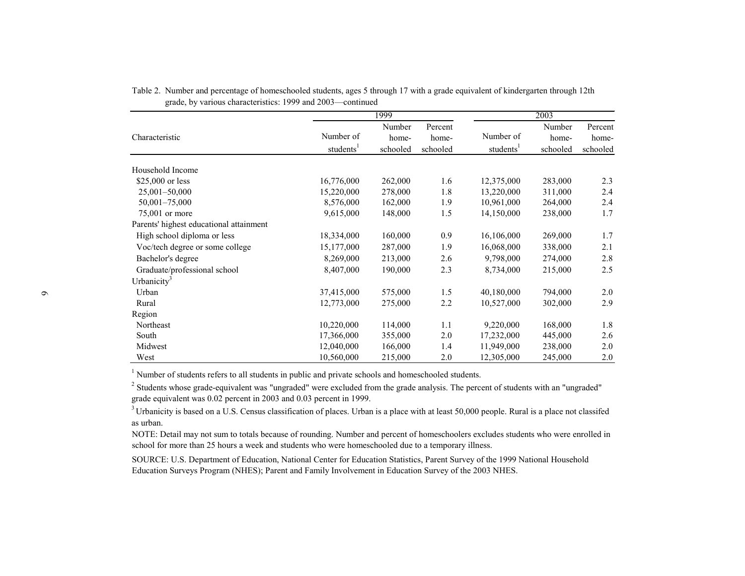|                                         |                                    | 1999                        |                              |                                    | 2003                        |                              |
|-----------------------------------------|------------------------------------|-----------------------------|------------------------------|------------------------------------|-----------------------------|------------------------------|
| Characteristic                          | Number of<br>students <sup>1</sup> | Number<br>home-<br>schooled | Percent<br>home-<br>schooled | Number of<br>students <sup>1</sup> | Number<br>home-<br>schooled | Percent<br>home-<br>schooled |
| Household Income                        |                                    |                             |                              |                                    |                             |                              |
| $$25,000$ or less                       | 16,776,000                         | 262,000                     | 1.6                          | 12,375,000                         | 283,000                     | 2.3                          |
| $25,001 - 50,000$                       | 15,220,000                         | 278,000                     | 1.8                          | 13,220,000                         | 311,000                     | 2.4                          |
| 50,001-75,000                           | 8,576,000                          | 162,000                     | 1.9                          | 10,961,000                         | 264,000                     | 2.4                          |
| 75,001 or more                          | 9,615,000                          | 148,000                     | 1.5                          | 14,150,000                         | 238,000                     | 1.7                          |
| Parents' highest educational attainment |                                    |                             |                              |                                    |                             |                              |
| High school diploma or less             | 18,334,000                         | 160,000                     | 0.9                          | 16,106,000                         | 269,000                     | 1.7                          |
| Voc/tech degree or some college         | 15,177,000                         | 287,000                     | 1.9                          | 16,068,000                         | 338,000                     | 2.1                          |
| Bachelor's degree                       | 8,269,000                          | 213,000                     | 2.6                          | 9,798,000                          | 274,000                     | 2.8                          |
| Graduate/professional school            | 8,407,000                          | 190,000                     | 2.3                          | 8,734,000                          | 215,000                     | 2.5                          |
| Urbanicity <sup>3</sup>                 |                                    |                             |                              |                                    |                             |                              |
| Urban                                   | 37,415,000                         | 575,000                     | 1.5                          | 40,180,000                         | 794,000                     | 2.0                          |
| Rural                                   | 12,773,000                         | 275,000                     | 2.2                          | 10,527,000                         | 302,000                     | 2.9                          |
| Region                                  |                                    |                             |                              |                                    |                             |                              |
| Northeast                               | 10,220,000                         | 114,000                     | 1.1                          | 9,220,000                          | 168,000                     | 1.8                          |
| South                                   | 17,366,000                         | 355,000                     | 2.0                          | 17,232,000                         | 445,000                     | 2.6                          |
| Midwest                                 | 12,040,000                         | 166,000                     | 1.4                          | 11,949,000                         | 238,000                     | 2.0                          |
| West                                    | 10,560,000                         | 215,000                     | 2.0                          | 12,305,000                         | 245,000                     | 2.0                          |

Table 2. Number and percentage of homeschooled students, ages 5 through 17 with a grade equivalent of kindergarten through 12th grade, by various characteristics: 1999 and 2003—continued

<sup>1</sup> Number of students refers to all students in public and private schools and homeschooled students.

 $2^2$  Students whose grade-equivalent was "ungraded" were excluded from the grade analysis. The percent of students with an "ungraded" grade equivalent was 0.02 percent in 2003 and 0.03 percent in 1999.

<sup>3</sup> Urbanicity is based on a U.S. Census classification of places. Urban is a place with at least 50,000 people. Rural is a place not classifed as urban.

NOTE: Detail may not sum to totals because of rounding. Number and percent of homeschoolers excludes students who were enrolled in school for more than 25 hours a week and students who were homeschooled due to a temporary illness.

SOURCE: U.S. Department of Education, National Center for Education Statistics, Parent Survey of the 1999 National Household Education Surveys Program (NHES); Parent and Family Involvement in Education Survey of the 2003 NHES.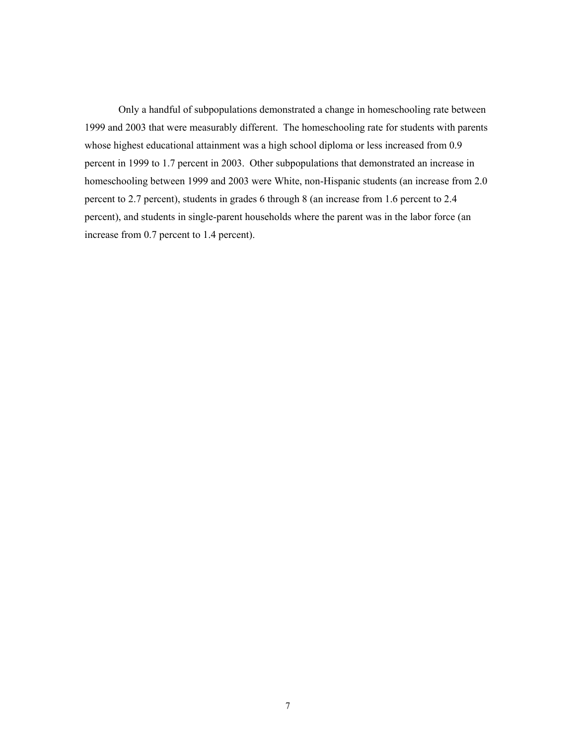Only a handful of subpopulations demonstrated a change in homeschooling rate between 1999 and 2003 that were measurably different. The homeschooling rate for students with parents whose highest educational attainment was a high school diploma or less increased from 0.9 percent in 1999 to 1.7 percent in 2003. Other subpopulations that demonstrated an increase in homeschooling between 1999 and 2003 were White, non-Hispanic students (an increase from 2.0 percent to 2.7 percent), students in grades 6 through 8 (an increase from 1.6 percent to 2.4 percent), and students in single-parent households where the parent was in the labor force (an increase from 0.7 percent to 1.4 percent).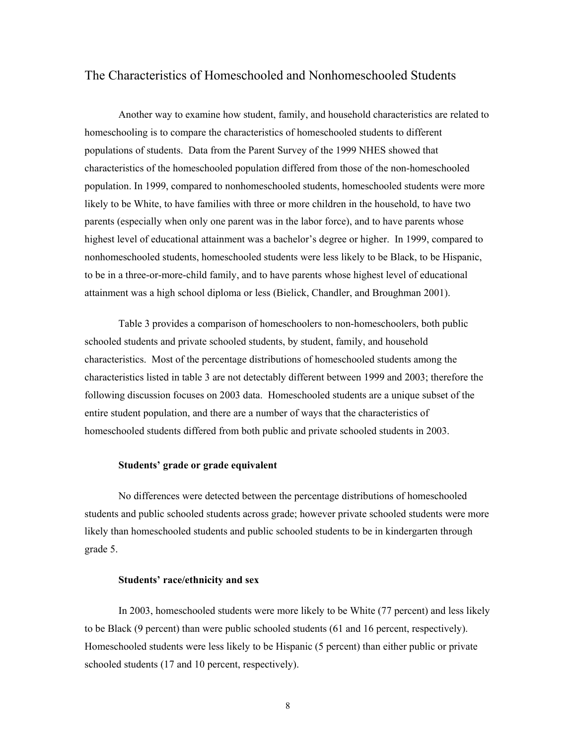# The Characteristics of Homeschooled and Nonhomeschooled Students

Another way to examine how student, family, and household characteristics are related to homeschooling is to compare the characteristics of homeschooled students to different populations of students. Data from the Parent Survey of the 1999 NHES showed that characteristics of the homeschooled population differed from those of the non-homeschooled population. In 1999, compared to nonhomeschooled students, homeschooled students were more likely to be White, to have families with three or more children in the household, to have two parents (especially when only one parent was in the labor force), and to have parents whose highest level of educational attainment was a bachelor's degree or higher. In 1999, compared to nonhomeschooled students, homeschooled students were less likely to be Black, to be Hispanic, to be in a three-or-more-child family, and to have parents whose highest level of educational attainment was a high school diploma or less (Bielick, Chandler, and Broughman 2001).

Table 3 provides a comparison of homeschoolers to non-homeschoolers, both public schooled students and private schooled students, by student, family, and household characteristics. Most of the percentage distributions of homeschooled students among the characteristics listed in table 3 are not detectably different between 1999 and 2003; therefore the following discussion focuses on 2003 data. Homeschooled students are a unique subset of the entire student population, and there are a number of ways that the characteristics of homeschooled students differed from both public and private schooled students in 2003.

# **Students' grade or grade equivalent**

No differences were detected between the percentage distributions of homeschooled students and public schooled students across grade; however private schooled students were more likely than homeschooled students and public schooled students to be in kindergarten through grade 5.

## **Students' race/ethnicity and sex**

In 2003, homeschooled students were more likely to be White (77 percent) and less likely to be Black (9 percent) than were public schooled students (61 and 16 percent, respectively). Homeschooled students were less likely to be Hispanic (5 percent) than either public or private schooled students (17 and 10 percent, respectively).

8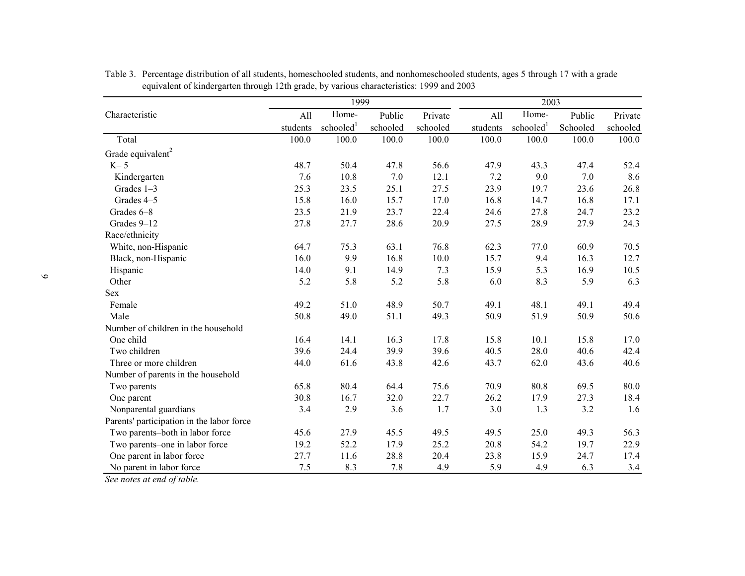|                                           |          | 1999                  |          |          |          | 2003                  |          |          |
|-------------------------------------------|----------|-----------------------|----------|----------|----------|-----------------------|----------|----------|
| Characteristic                            | All      | Home-                 | Public   | Private  | All      | Home-                 | Public   | Private  |
|                                           | students | schooled <sup>1</sup> | schooled | schooled | students | schooled <sup>1</sup> | Schooled | schooled |
| Total                                     | 100.0    | 100.0                 | 100.0    | 100.0    | 100.0    | 100.0                 | 100.0    | 100.0    |
| Grade equivalent <sup>2</sup>             |          |                       |          |          |          |                       |          |          |
| $K-5$                                     | 48.7     | 50.4                  | 47.8     | 56.6     | 47.9     | 43.3                  | 47.4     | 52.4     |
| Kindergarten                              | 7.6      | 10.8                  | 7.0      | 12.1     | 7.2      | 9.0                   | 7.0      | 8.6      |
| Grades 1-3                                | 25.3     | 23.5                  | 25.1     | 27.5     | 23.9     | 19.7                  | 23.6     | 26.8     |
| Grades 4-5                                | 15.8     | 16.0                  | 15.7     | 17.0     | 16.8     | 14.7                  | 16.8     | 17.1     |
| Grades 6-8                                | 23.5     | 21.9                  | 23.7     | 22.4     | 24.6     | 27.8                  | 24.7     | 23.2     |
| Grades 9-12                               | 27.8     | 27.7                  | 28.6     | 20.9     | 27.5     | 28.9                  | 27.9     | 24.3     |
| Race/ethnicity                            |          |                       |          |          |          |                       |          |          |
| White, non-Hispanic                       | 64.7     | 75.3                  | 63.1     | 76.8     | 62.3     | 77.0                  | 60.9     | 70.5     |
| Black, non-Hispanic                       | 16.0     | 9.9                   | 16.8     | 10.0     | 15.7     | 9.4                   | 16.3     | 12.7     |
| Hispanic                                  | 14.0     | 9.1                   | 14.9     | 7.3      | 15.9     | 5.3                   | 16.9     | 10.5     |
| Other                                     | 5.2      | 5.8                   | 5.2      | 5.8      | 6.0      | 8.3                   | 5.9      | 6.3      |
| <b>Sex</b>                                |          |                       |          |          |          |                       |          |          |
| Female                                    | 49.2     | 51.0                  | 48.9     | 50.7     | 49.1     | 48.1                  | 49.1     | 49.4     |
| Male                                      | 50.8     | 49.0                  | 51.1     | 49.3     | 50.9     | 51.9                  | 50.9     | 50.6     |
| Number of children in the household       |          |                       |          |          |          |                       |          |          |
| One child                                 | 16.4     | 14.1                  | 16.3     | 17.8     | 15.8     | 10.1                  | 15.8     | 17.0     |
| Two children                              | 39.6     | 24.4                  | 39.9     | 39.6     | 40.5     | 28.0                  | 40.6     | 42.4     |
| Three or more children                    | 44.0     | 61.6                  | 43.8     | 42.6     | 43.7     | 62.0                  | 43.6     | 40.6     |
| Number of parents in the household        |          |                       |          |          |          |                       |          |          |
| Two parents                               | 65.8     | 80.4                  | 64.4     | 75.6     | 70.9     | 80.8                  | 69.5     | 80.0     |
| One parent                                | 30.8     | 16.7                  | 32.0     | 22.7     | 26.2     | 17.9                  | 27.3     | 18.4     |
| Nonparental guardians                     | 3.4      | 2.9                   | 3.6      | 1.7      | 3.0      | 1.3                   | 3.2      | 1.6      |
| Parents' participation in the labor force |          |                       |          |          |          |                       |          |          |
| Two parents-both in labor force           | 45.6     | 27.9                  | 45.5     | 49.5     | 49.5     | 25.0                  | 49.3     | 56.3     |
| Two parents-one in labor force            | 19.2     | 52.2                  | 17.9     | 25.2     | 20.8     | 54.2                  | 19.7     | 22.9     |
| One parent in labor force                 | 27.7     | 11.6                  | 28.8     | 20.4     | 23.8     | 15.9                  | 24.7     | 17.4     |
| No parent in labor force                  | 7.5      | 8.3                   | 7.8      | 4.9      | 5.9      | 4.9                   | 6.3      | 3.4      |

Table 3. Percentage distribution of all students, homeschooled students, and nonhomeschooled students, ages 5 through 17 with a grade equivalent of kindergarten through 12th grade, by various characteristics: 1999 and 2003

*See notes at end of table.*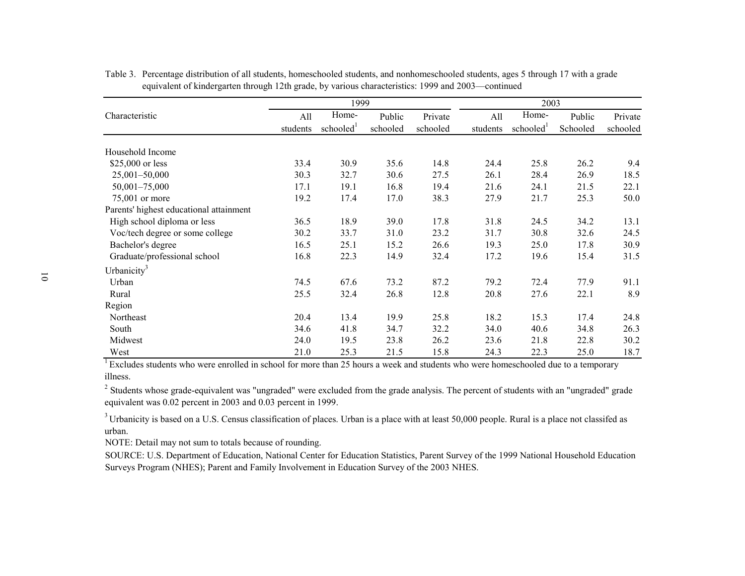|                                         |                 | 1999                           |                    |                     | 2003            |                                |                    |                     |
|-----------------------------------------|-----------------|--------------------------------|--------------------|---------------------|-----------------|--------------------------------|--------------------|---------------------|
| Characteristic                          | All<br>students | Home-<br>schooled <sup>1</sup> | Public<br>schooled | Private<br>schooled | All<br>students | Home-<br>schooled <sup>1</sup> | Public<br>Schooled | Private<br>schooled |
|                                         |                 |                                |                    |                     |                 |                                |                    |                     |
| Household Income                        |                 |                                |                    |                     |                 |                                |                    |                     |
| \$25,000 or less                        | 33.4            | 30.9                           | 35.6               | 14.8                | 24.4            | 25.8                           | 26.2               | 9.4                 |
| $25,001 - 50,000$                       | 30.3            | 32.7                           | 30.6               | 27.5                | 26.1            | 28.4                           | 26.9               | 18.5                |
| $50,001 - 75,000$                       | 17.1            | 19.1                           | 16.8               | 19.4                | 21.6            | 24.1                           | 21.5               | 22.1                |
| 75,001 or more                          | 19.2            | 17.4                           | 17.0               | 38.3                | 27.9            | 21.7                           | 25.3               | 50.0                |
| Parents' highest educational attainment |                 |                                |                    |                     |                 |                                |                    |                     |
| High school diploma or less             | 36.5            | 18.9                           | 39.0               | 17.8                | 31.8            | 24.5                           | 34.2               | 13.1                |
| Voc/tech degree or some college         | 30.2            | 33.7                           | 31.0               | 23.2                | 31.7            | 30.8                           | 32.6               | 24.5                |
| Bachelor's degree                       | 16.5            | 25.1                           | 15.2               | 26.6                | 19.3            | 25.0                           | 17.8               | 30.9                |
| Graduate/professional school            | 16.8            | 22.3                           | 14.9               | 32.4                | 17.2            | 19.6                           | 15.4               | 31.5                |
| Urbanicity <sup>3</sup>                 |                 |                                |                    |                     |                 |                                |                    |                     |
| Urban                                   | 74.5            | 67.6                           | 73.2               | 87.2                | 79.2            | 72.4                           | 77.9               | 91.1                |
| Rural                                   | 25.5            | 32.4                           | 26.8               | 12.8                | 20.8            | 27.6                           | 22.1               | 8.9                 |
| Region                                  |                 |                                |                    |                     |                 |                                |                    |                     |
| Northeast                               | 20.4            | 13.4                           | 19.9               | 25.8                | 18.2            | 15.3                           | 17.4               | 24.8                |
| South                                   | 34.6            | 41.8                           | 34.7               | 32.2                | 34.0            | 40.6                           | 34.8               | 26.3                |
| Midwest                                 | 24.0            | 19.5                           | 23.8               | 26.2                | 23.6            | 21.8                           | 22.8               | 30.2                |
| West                                    | 21.0            | 25.3                           | 21.5               | 15.8                | 24.3            | 22.3                           | 25.0               | 18.7                |

Table 3. Percentage distribution of all students, homeschooled students, and nonhomeschooled students, ages 5 through 17 with a grade equivalent of kindergarten through 12th grade, by various characteristics: 1999 and 2003—continued

 $\overline{1}$  Excludes students who were enrolled in school for more than 25 hours a week and students who were homeschooled due to a temporary illness.

<sup>2</sup> Students whose grade-equivalent was "ungraded" were excluded from the grade analysis. The percent of students with an "ungraded" grade equivalent was 0.02 percent in 2003 and 0.03 percent in 1999.

<sup>3</sup> Urbanicity is based on a U.S. Census classification of places. Urban is a place with at least 50,000 people. Rural is a place not classifed as urban.

NOTE: Detail may not sum to totals because of rounding.

SOURCE: U.S. Department of Education, National Center for Education Statistics, Parent Survey of the 1999 National Household Education Surveys Program (NHES); Parent and Family Involvement in Education Survey of the 2003 NHES.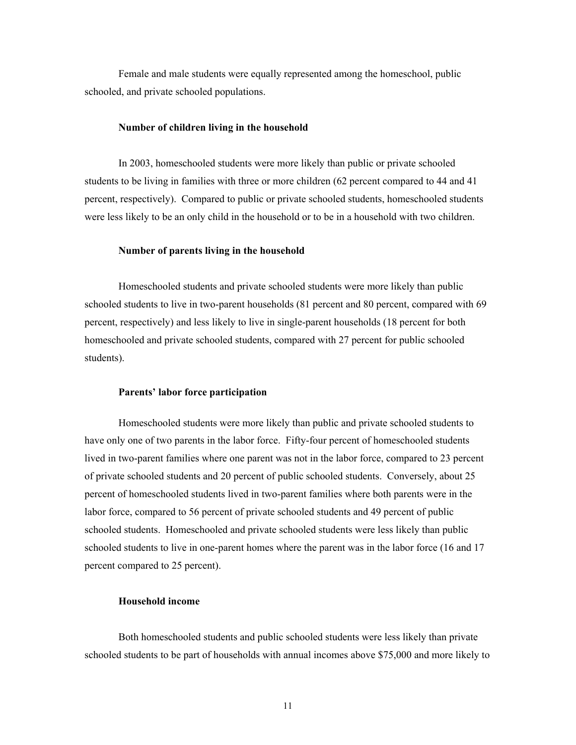Female and male students were equally represented among the homeschool, public schooled, and private schooled populations.

## **Number of children living in the household**

In 2003, homeschooled students were more likely than public or private schooled students to be living in families with three or more children (62 percent compared to 44 and 41 percent, respectively). Compared to public or private schooled students, homeschooled students were less likely to be an only child in the household or to be in a household with two children.

### **Number of parents living in the household**

Homeschooled students and private schooled students were more likely than public schooled students to live in two-parent households (81 percent and 80 percent, compared with 69 percent, respectively) and less likely to live in single-parent households (18 percent for both homeschooled and private schooled students, compared with 27 percent for public schooled students).

#### **Parents' labor force participation**

Homeschooled students were more likely than public and private schooled students to have only one of two parents in the labor force. Fifty-four percent of homeschooled students lived in two-parent families where one parent was not in the labor force, compared to 23 percent of private schooled students and 20 percent of public schooled students. Conversely, about 25 percent of homeschooled students lived in two-parent families where both parents were in the labor force, compared to 56 percent of private schooled students and 49 percent of public schooled students. Homeschooled and private schooled students were less likely than public schooled students to live in one-parent homes where the parent was in the labor force (16 and 17 percent compared to 25 percent).

## **Household income**

Both homeschooled students and public schooled students were less likely than private schooled students to be part of households with annual incomes above \$75,000 and more likely to

11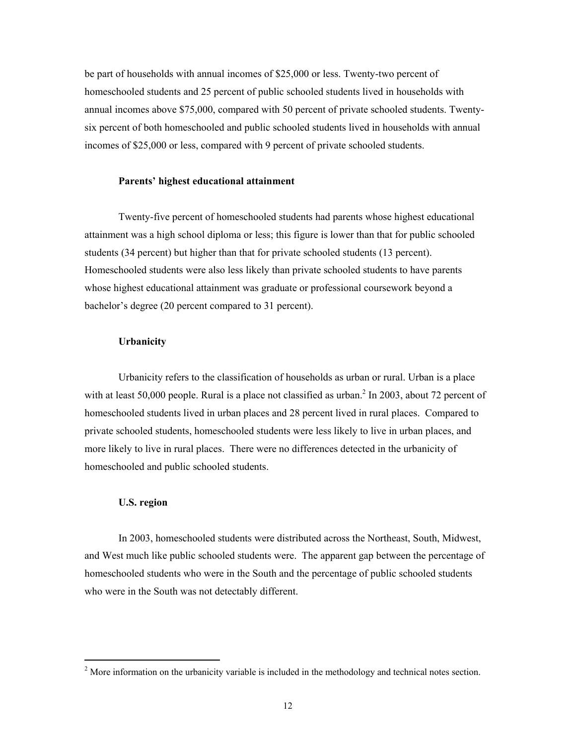be part of households with annual incomes of \$25,000 or less. Twenty-two percent of homeschooled students and 25 percent of public schooled students lived in households with annual incomes above \$75,000, compared with 50 percent of private schooled students. Twentysix percent of both homeschooled and public schooled students lived in households with annual incomes of \$25,000 or less, compared with 9 percent of private schooled students.

# **Parents' highest educational attainment**

Twenty-five percent of homeschooled students had parents whose highest educational attainment was a high school diploma or less; this figure is lower than that for public schooled students (34 percent) but higher than that for private schooled students (13 percent). Homeschooled students were also less likely than private schooled students to have parents whose highest educational attainment was graduate or professional coursework beyond a bachelor's degree (20 percent compared to 31 percent).

# **Urbanicity**

Urbanicity refers to the classification of households as urban or rural. Urban is a place with at least 50,000 people. Rural is a place not classified as urban. $^2$  In 2003, about 72 percent of homeschooled students lived in urban places and 28 percent lived in rural places. Compared to private schooled students, homeschooled students were less likely to live in urban places, and more likely to live in rural places. There were no differences detected in the urbanicity of homeschooled and public schooled students.

## **U.S. region**

 $\overline{a}$ 

In 2003, homeschooled students were distributed across the Northeast, South, Midwest, and West much like public schooled students were. The apparent gap between the percentage of homeschooled students who were in the South and the percentage of public schooled students who were in the South was not detectably different.

 $2^{2}$  More information on the urbanicity variable is included in the methodology and technical notes section.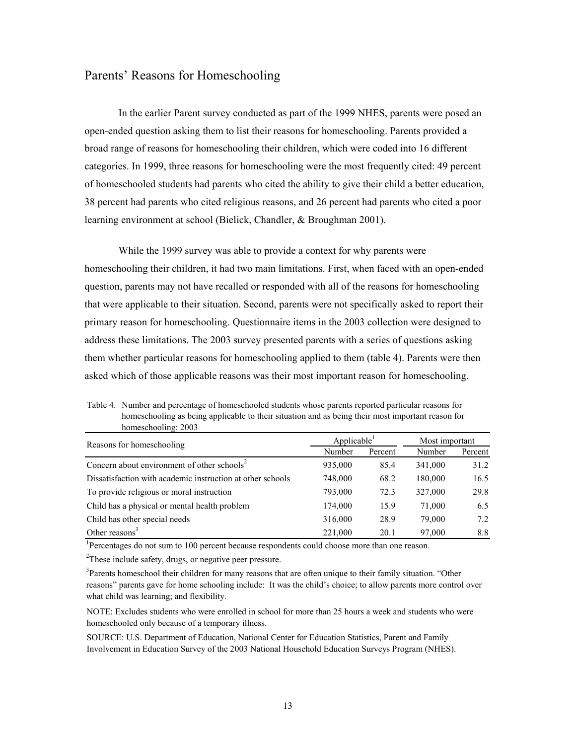# Parents' Reasons for Homeschooling

 In the earlier Parent survey conducted as part of the 1999 NHES, parents were posed an open-ended question asking them to list their reasons for homeschooling. Parents provided a broad range of reasons for homeschooling their children, which were coded into 16 different categories. In 1999, three reasons for homeschooling were the most frequently cited: 49 percent of homeschooled students had parents who cited the ability to give their child a better education, 38 percent had parents who cited religious reasons, and 26 percent had parents who cited a poor learning environment at school (Bielick, Chandler, & Broughman 2001).

While the 1999 survey was able to provide a context for why parents were homeschooling their children, it had two main limitations. First, when faced with an open-ended question, parents may not have recalled or responded with all of the reasons for homeschooling that were applicable to their situation. Second, parents were not specifically asked to report their primary reason for homeschooling. Questionnaire items in the 2003 collection were designed to address these limitations. The 2003 survey presented parents with a series of questions asking them whether particular reasons for homeschooling applied to them (table 4). Parents were then asked which of those applicable reasons was their most important reason for homeschooling.

| nomeschooling: 2003                                        |                         |         |                |         |  |
|------------------------------------------------------------|-------------------------|---------|----------------|---------|--|
| Reasons for homeschooling                                  | Applicable <sup>1</sup> |         | Most important |         |  |
|                                                            | Number                  | Percent | Number         | Percent |  |
| Concern about environment of other schools <sup>2</sup>    | 935,000                 | 85.4    | 341,000        | 31.2    |  |
| Dissatisfaction with academic instruction at other schools | 748,000                 | 68.2    | 180,000        | 16.5    |  |
| To provide religious or moral instruction                  | 793,000                 | 72.3    | 327,000        | 29.8    |  |
| Child has a physical or mental health problem              | 174,000                 | 15.9    | 71,000         | 6.5     |  |
| Child has other special needs                              | 316,000                 | 28.9    | 79,000         | 7.2     |  |
| Other reasons $3$                                          | 221,000                 | 20.1    | 97,000         | 8.8     |  |

Table 4. Number and percentage of homeschooled students whose parents reported particular reasons for homeschooling as being applicable to their situation and as being their most important reason for<br>homeschooling: 2002 homeschooling: 2003

<sup>1</sup>Percentages do not sum to 100 percent because respondents could choose more than one reason.

 $2$ These include safety, drugs, or negative peer pressure.

<sup>3</sup>Parents homeschool their children for many reasons that are often unique to their family situation. "Other reasons" parents gave for home schooling include: It was the child's choice; to allow parents more control over what child was learning; and flexibility.

NOTE: Excludes students who were enrolled in school for more than 25 hours a week and students who were homeschooled only because of a temporary illness.

SOURCE: U.S. Department of Education, National Center for Education Statistics, Parent and Family Involvement in Education Survey of the 2003 National Household Education Surveys Program (NHES).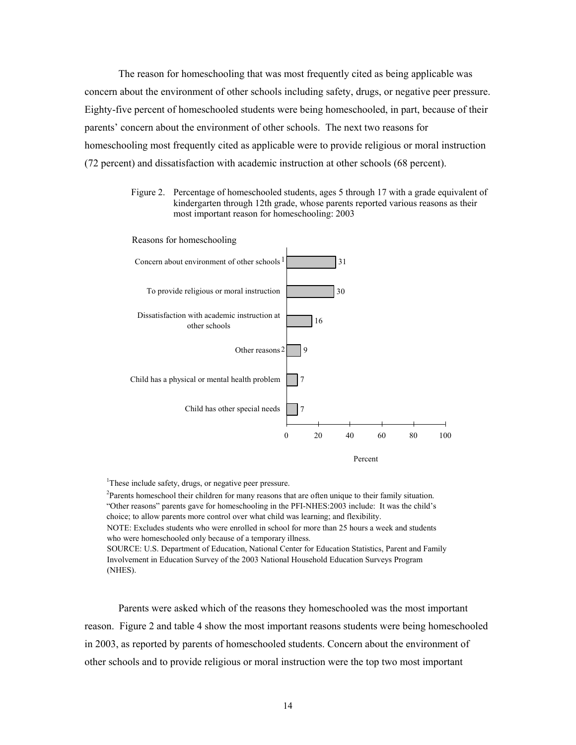The reason for homeschooling that was most frequently cited as being applicable was concern about the environment of other schools including safety, drugs, or negative peer pressure. Eighty-five percent of homeschooled students were being homeschooled, in part, because of their parents' concern about the environment of other schools. The next two reasons for homeschooling most frequently cited as applicable were to provide religious or moral instruction (72 percent) and dissatisfaction with academic instruction at other schools (68 percent).

> Figure 2. Percentage of homeschooled students, ages 5 through 17 with a grade equivalent of kindergarten through 12th grade, whose parents reported various reasons as their most important reason for homeschooling: 2003



<sup>1</sup>These include safety, drugs, or negative peer pressure.

 $2$ Parents homeschool their children for many reasons that are often unique to their family situation. "Other reasons" parents gave for homeschooling in the PFI-NHES:2003 include: It was the child's choice; to allow parents more control over what child was learning; and flexibility. NOTE: Excludes students who were enrolled in school for more than 25 hours a week and students who were homeschooled only because of a temporary illness. SOURCE: U.S. Department of Education, National Center for Education Statistics, Parent and Family Involvement in Education Survey of the 2003 National Household Education Surveys Program

(NHES).

Parents were asked which of the reasons they homeschooled was the most important reason. Figure 2 and table 4 show the most important reasons students were being homeschooled in 2003, as reported by parents of homeschooled students. Concern about the environment of other schools and to provide religious or moral instruction were the top two most important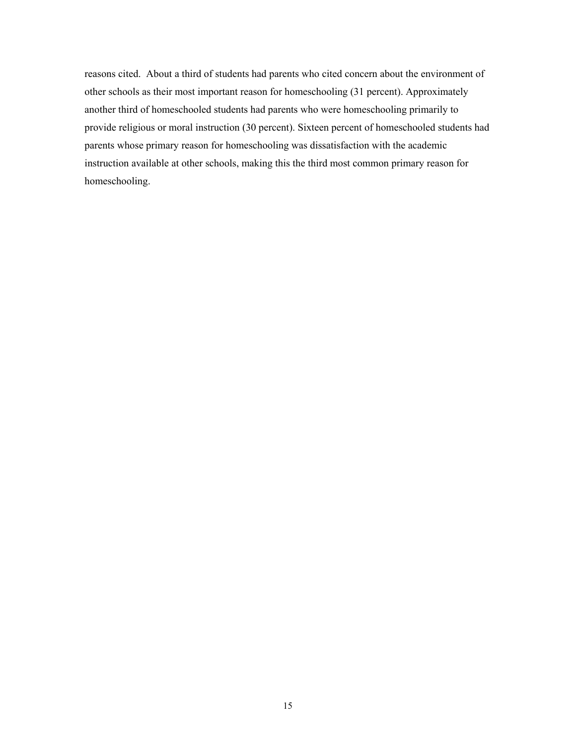reasons cited. About a third of students had parents who cited concern about the environment of other schools as their most important reason for homeschooling (31 percent). Approximately another third of homeschooled students had parents who were homeschooling primarily to provide religious or moral instruction (30 percent). Sixteen percent of homeschooled students had parents whose primary reason for homeschooling was dissatisfaction with the academic instruction available at other schools, making this the third most common primary reason for homeschooling.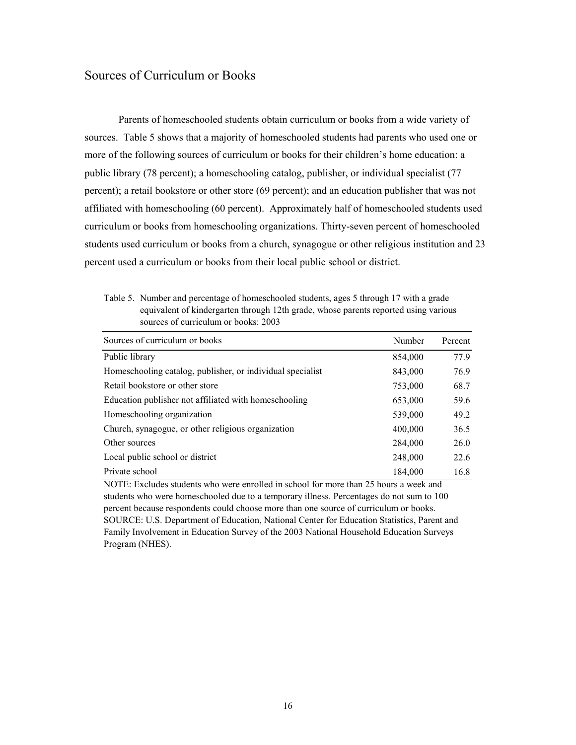# Sources of Curriculum or Books

Parents of homeschooled students obtain curriculum or books from a wide variety of sources. Table 5 shows that a majority of homeschooled students had parents who used one or more of the following sources of curriculum or books for their children's home education: a public library (78 percent); a homeschooling catalog, publisher, or individual specialist (77 percent); a retail bookstore or other store (69 percent); and an education publisher that was not affiliated with homeschooling (60 percent). Approximately half of homeschooled students used curriculum or books from homeschooling organizations. Thirty-seven percent of homeschooled students used curriculum or books from a church, synagogue or other religious institution and 23 percent used a curriculum or books from their local public school or district.

Table 5. Number and percentage of homeschooled students, ages 5 through 17 with a grade equivalent of kindergarten through 12th grade, whose parents reported using various sources of curriculum or books: 2003

| Sources of curriculum or books                             | Number  | Percent |
|------------------------------------------------------------|---------|---------|
| Public library                                             | 854,000 | 77.9    |
| Homeschooling catalog, publisher, or individual specialist | 843,000 | 76.9    |
| Retail bookstore or other store                            | 753,000 | 68.7    |
| Education publisher not affiliated with homeschooling      | 653,000 | 59.6    |
| Homeschooling organization                                 | 539,000 | 49.2    |
| Church, synagogue, or other religious organization         | 400,000 | 36.5    |
| Other sources                                              | 284,000 | 26.0    |
| Local public school or district                            | 248,000 | 22.6    |
| Private school                                             | 184,000 | 16.8    |

NOTE: Excludes students who were enrolled in school for more than 25 hours a week and students who were homeschooled due to a temporary illness. Percentages do not sum to 100 percent because respondents could choose more than one source of curriculum or books. SOURCE: U.S. Department of Education, National Center for Education Statistics, Parent and Family Involvement in Education Survey of the 2003 National Household Education Surveys Program (NHES).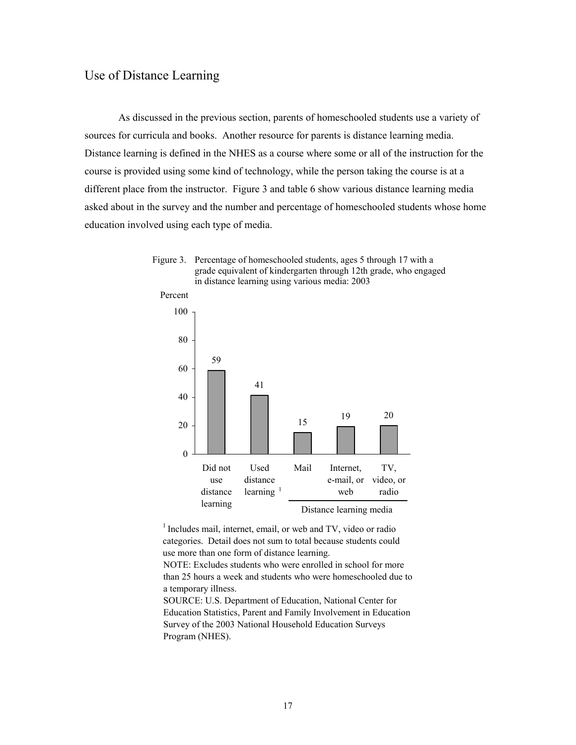# Use of Distance Learning

 As discussed in the previous section, parents of homeschooled students use a variety of sources for curricula and books. Another resource for parents is distance learning media. Distance learning is defined in the NHES as a course where some or all of the instruction for the course is provided using some kind of technology, while the person taking the course is at a different place from the instructor. Figure 3 and table 6 show various distance learning media asked about in the survey and the number and percentage of homeschooled students whose home education involved using each type of media.





<sup>1</sup> Includes mail, internet, email, or web and TV, video or radio categories. Detail does not sum to total because students could use more than one form of distance learning.

NOTE: Excludes students who were enrolled in school for more than 25 hours a week and students who were homeschooled due to a temporary illness.

SOURCE: U.S. Department of Education, National Center for Education Statistics, Parent and Family Involvement in Education Survey of the 2003 National Household Education Surveys Program (NHES).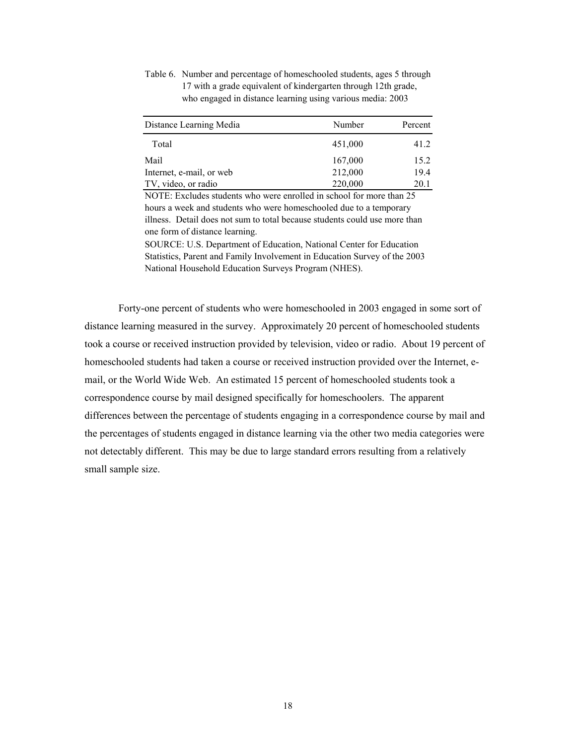Table 6. Number and percentage of homeschooled students, ages 5 through 17 with a grade equivalent of kindergarten through 12th grade, who engaged in distance learning using various media: 2003

| Distance Learning Media  | Number  | Percent |
|--------------------------|---------|---------|
| Total                    | 451,000 | 41.2    |
| Mail                     | 167,000 | 15.2    |
| Internet, e-mail, or web | 212,000 | 19.4    |
| TV, video, or radio      | 220,000 | 20.1    |

NOTE: Excludes students who were enrolled in school for more than 25 hours a week and students who were homeschooled due to a temporary illness. Detail does not sum to total because students could use more than one form of distance learning.

SOURCE: U.S. Department of Education, National Center for Education Statistics, Parent and Family Involvement in Education Survey of the 2003 National Household Education Surveys Program (NHES).

Forty-one percent of students who were homeschooled in 2003 engaged in some sort of distance learning measured in the survey. Approximately 20 percent of homeschooled students took a course or received instruction provided by television, video or radio. About 19 percent of homeschooled students had taken a course or received instruction provided over the Internet, email, or the World Wide Web. An estimated 15 percent of homeschooled students took a correspondence course by mail designed specifically for homeschoolers. The apparent differences between the percentage of students engaging in a correspondence course by mail and the percentages of students engaged in distance learning via the other two media categories were not detectably different. This may be due to large standard errors resulting from a relatively small sample size.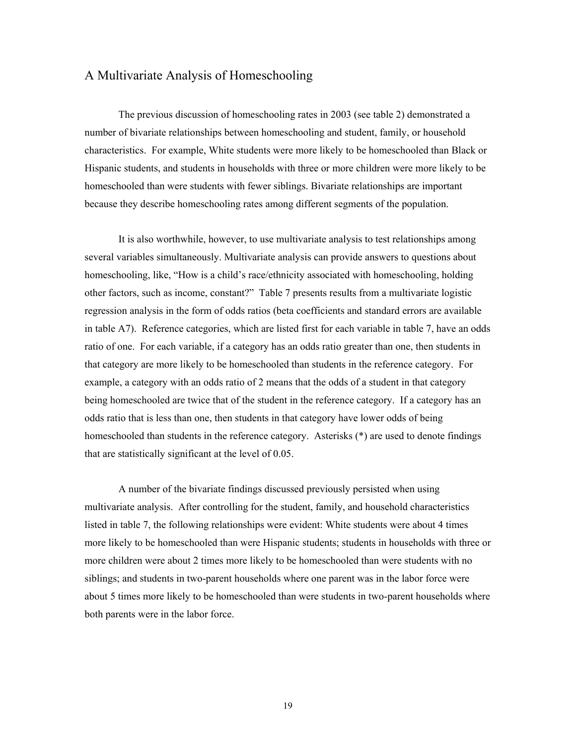# A Multivariate Analysis of Homeschooling

The previous discussion of homeschooling rates in 2003 (see table 2) demonstrated a number of bivariate relationships between homeschooling and student, family, or household characteristics. For example, White students were more likely to be homeschooled than Black or Hispanic students, and students in households with three or more children were more likely to be homeschooled than were students with fewer siblings. Bivariate relationships are important because they describe homeschooling rates among different segments of the population.

It is also worthwhile, however, to use multivariate analysis to test relationships among several variables simultaneously. Multivariate analysis can provide answers to questions about homeschooling, like, "How is a child's race/ethnicity associated with homeschooling, holding other factors, such as income, constant?" Table 7 presents results from a multivariate logistic regression analysis in the form of odds ratios (beta coefficients and standard errors are available in table A7). Reference categories, which are listed first for each variable in table 7, have an odds ratio of one. For each variable, if a category has an odds ratio greater than one, then students in that category are more likely to be homeschooled than students in the reference category. For example, a category with an odds ratio of 2 means that the odds of a student in that category being homeschooled are twice that of the student in the reference category. If a category has an odds ratio that is less than one, then students in that category have lower odds of being homeschooled than students in the reference category. Asterisks (\*) are used to denote findings that are statistically significant at the level of 0.05.

 A number of the bivariate findings discussed previously persisted when using multivariate analysis. After controlling for the student, family, and household characteristics listed in table 7, the following relationships were evident: White students were about 4 times more likely to be homeschooled than were Hispanic students; students in households with three or more children were about 2 times more likely to be homeschooled than were students with no siblings; and students in two-parent households where one parent was in the labor force were about 5 times more likely to be homeschooled than were students in two-parent households where both parents were in the labor force.

19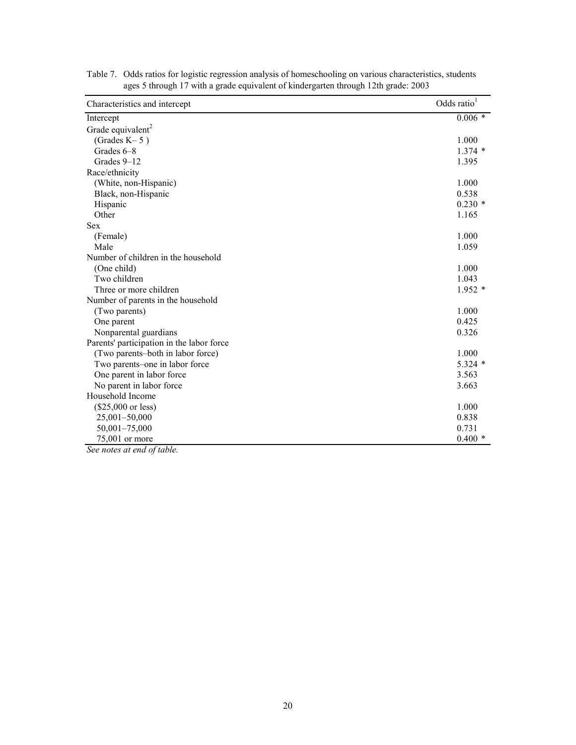| Characteristics and intercept             | Odds ratio <sup>1</sup> |
|-------------------------------------------|-------------------------|
| Intercept                                 | $0.006 *$               |
| Grade equivalent <sup>2</sup>             |                         |
| (Grades $K-5$ )                           | 1.000                   |
| Grades 6-8                                | $1.374*$                |
| Grades 9-12                               | 1.395                   |
| Race/ethnicity                            |                         |
| (White, non-Hispanic)                     | 1.000                   |
| Black, non-Hispanic                       | 0.538                   |
| Hispanic                                  | $0.230*$                |
| Other                                     | 1.165                   |
| <b>Sex</b>                                |                         |
| (Female)                                  | 1.000                   |
| Male                                      | 1.059                   |
| Number of children in the household       |                         |
| (One child)                               | 1.000                   |
| Two children                              | 1.043                   |
| Three or more children                    | $1.952*$                |
| Number of parents in the household        |                         |
| (Two parents)                             | 1.000                   |
| One parent                                | 0.425                   |
| Nonparental guardians                     | 0.326                   |
| Parents' participation in the labor force |                         |
| (Two parents-both in labor force)         | 1.000                   |
| Two parents-one in labor force            | $5.324$ *               |
| One parent in labor force                 | 3.563                   |
| No parent in labor force                  | 3.663                   |
| Household Income                          |                         |
| $($25,000 \text{ or less})$               | 1.000                   |
| 25,001-50,000                             | 0.838                   |
| 50,001-75,000                             | 0.731                   |
| 75,001 or more                            | $0.400*$                |

Table 7. Odds ratios for logistic regression analysis of homeschooling on various characteristics, students ages 5 through 17 with a grade equivalent of kindergarten through 12th grade: 2003

*See notes at end of table.*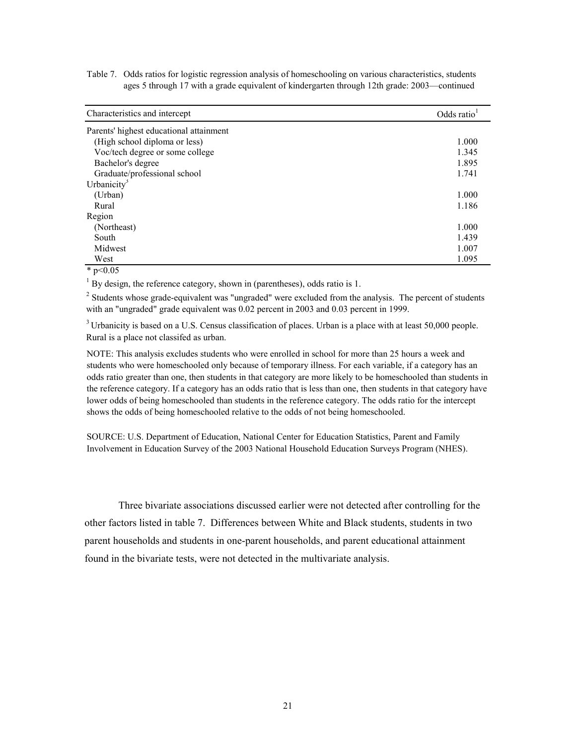Table 7. Odds ratios for logistic regression analysis of homeschooling on various characteristics, students ages 5 through 17 with a grade equivalent of kindergarten through 12th grade: 2003—continued

| Characteristics and intercept           | Odds ratio <sup>1</sup> |
|-----------------------------------------|-------------------------|
| Parents' highest educational attainment |                         |
| (High school diploma or less)           | 1.000                   |
| Voc/tech degree or some college         | 1.345                   |
| Bachelor's degree                       | 1.895                   |
| Graduate/professional school            | 1.741                   |
| Urbanicity <sup>3</sup>                 |                         |
| (Urban)                                 | 1.000                   |
| Rural                                   | 1.186                   |
| Region                                  |                         |
| (Northeast)                             | 1.000                   |
| South                                   | 1.439                   |
| Midwest                                 | 1.007                   |
| West                                    | 1.095                   |

 $*$  p<0.05

 $1$  By design, the reference category, shown in (parentheses), odds ratio is 1.

 $2^2$  Students whose grade-equivalent was "ungraded" were excluded from the analysis. The percent of students with an "ungraded" grade equivalent was 0.02 percent in 2003 and 0.03 percent in 1999.

<sup>3</sup> Urbanicity is based on a U.S. Census classification of places. Urban is a place with at least 50,000 people. Rural is a place not classifed as urban.

NOTE: This analysis excludes students who were enrolled in school for more than 25 hours a week and students who were homeschooled only because of temporary illness. For each variable, if a category has an odds ratio greater than one, then students in that category are more likely to be homeschooled than students in the reference category. If a category has an odds ratio that is less than one, then students in that category have lower odds of being homeschooled than students in the reference category. The odds ratio for the intercept shows the odds of being homeschooled relative to the odds of not being homeschooled.

SOURCE: U.S. Department of Education, National Center for Education Statistics, Parent and Family Involvement in Education Survey of the 2003 National Household Education Surveys Program (NHES).

Three bivariate associations discussed earlier were not detected after controlling for the other factors listed in table 7. Differences between White and Black students, students in two parent households and students in one-parent households, and parent educational attainment found in the bivariate tests, were not detected in the multivariate analysis.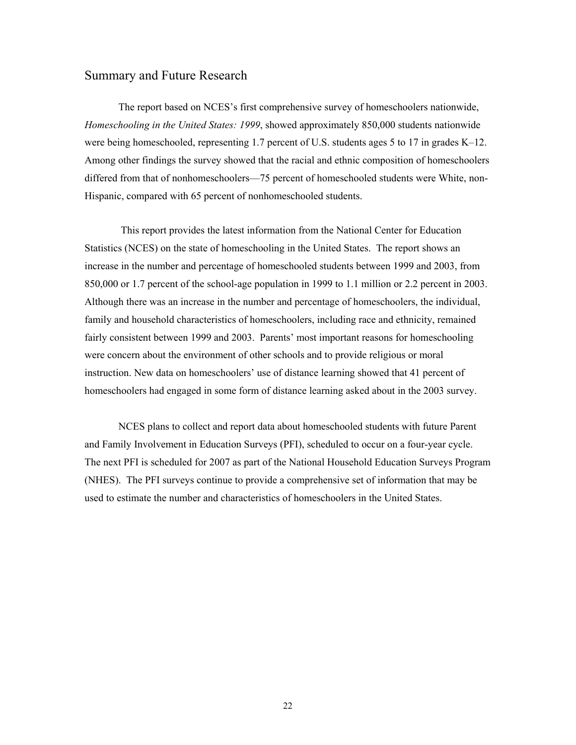# Summary and Future Research

The report based on NCES's first comprehensive survey of homeschoolers nationwide, *Homeschooling in the United States: 1999*, showed approximately 850,000 students nationwide were being homeschooled, representing 1.7 percent of U.S. students ages 5 to 17 in grades K–12. Among other findings the survey showed that the racial and ethnic composition of homeschoolers differed from that of nonhomeschoolers—75 percent of homeschooled students were White, non-Hispanic, compared with 65 percent of nonhomeschooled students.

This report provides the latest information from the National Center for Education Statistics (NCES) on the state of homeschooling in the United States. The report shows an increase in the number and percentage of homeschooled students between 1999 and 2003, from 850,000 or 1.7 percent of the school-age population in 1999 to 1.1 million or 2.2 percent in 2003. Although there was an increase in the number and percentage of homeschoolers, the individual, family and household characteristics of homeschoolers, including race and ethnicity, remained fairly consistent between 1999 and 2003. Parents' most important reasons for homeschooling were concern about the environment of other schools and to provide religious or moral instruction. New data on homeschoolers' use of distance learning showed that 41 percent of homeschoolers had engaged in some form of distance learning asked about in the 2003 survey.

NCES plans to collect and report data about homeschooled students with future Parent and Family Involvement in Education Surveys (PFI), scheduled to occur on a four-year cycle. The next PFI is scheduled for 2007 as part of the National Household Education Surveys Program (NHES). The PFI surveys continue to provide a comprehensive set of information that may be used to estimate the number and characteristics of homeschoolers in the United States.

22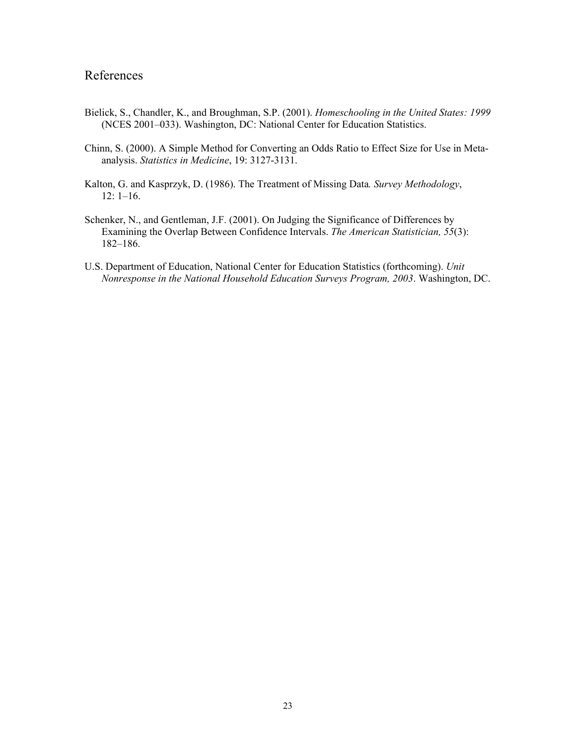# References

- Bielick, S., Chandler, K., and Broughman, S.P. (2001). *Homeschooling in the United States: 1999* (NCES 2001–033). Washington, DC: National Center for Education Statistics.
- Chinn, S. (2000). A Simple Method for Converting an Odds Ratio to Effect Size for Use in Metaanalysis. *Statistics in Medicine*, 19: 3127-3131.
- Kalton, G. and Kasprzyk, D. (1986). The Treatment of Missing Data*. Survey Methodology*, 12: 1–16.
- Schenker, N., and Gentleman, J.F. (2001). On Judging the Significance of Differences by Examining the Overlap Between Confidence Intervals. *The American Statistician, 55*(3): 182–186.
- U.S. Department of Education, National Center for Education Statistics (forthcoming). *Unit Nonresponse in the National Household Education Surveys Program, 2003*. Washington, DC.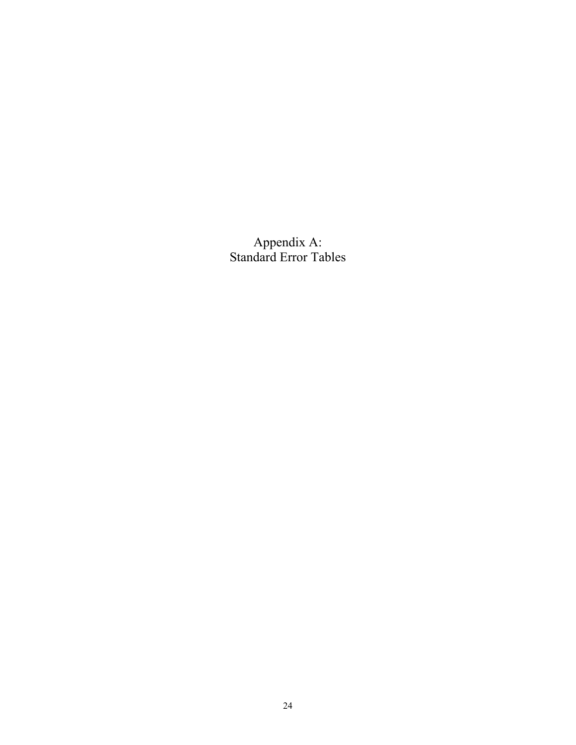Appendix A: Standard Error Tables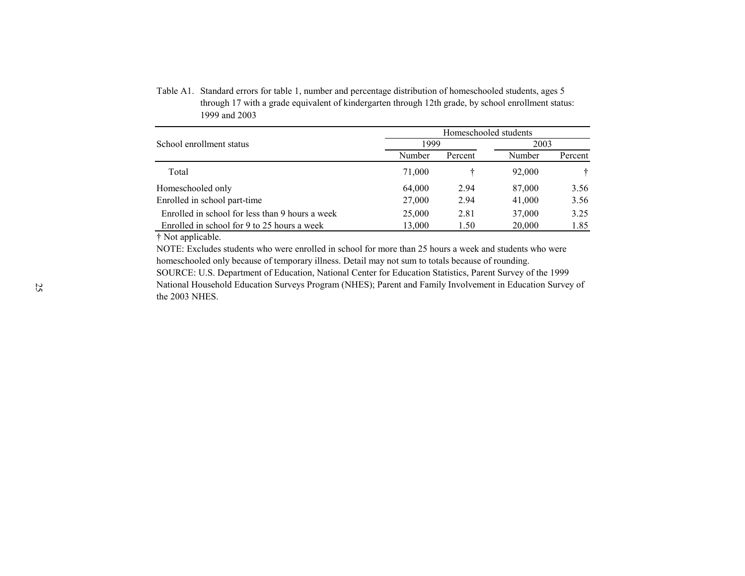|                                                 |        | Homeschooled students |        |         |  |  |  |  |
|-------------------------------------------------|--------|-----------------------|--------|---------|--|--|--|--|
| School enrollment status                        | 1999   |                       | 2003   |         |  |  |  |  |
|                                                 | Number | Percent               | Number | Percent |  |  |  |  |
| Total                                           | 71,000 |                       | 92,000 |         |  |  |  |  |
| Homeschooled only                               | 64,000 | 2.94                  | 87,000 | 3.56    |  |  |  |  |
| Enrolled in school part-time                    | 27,000 | 2.94                  | 41,000 | 3.56    |  |  |  |  |
| Enrolled in school for less than 9 hours a week | 25,000 | 2.81                  | 37,000 | 3.25    |  |  |  |  |
| Enrolled in school for 9 to 25 hours a week     | 13,000 | 1.50                  | 20,000 | 1.85    |  |  |  |  |

Table A1. Standard errors for table 1, number and percentage distribution of homeschooled students, ages 5 through 17 with a grade equivalent of kindergarten through 12th grade, by school enrollment status: 1999 and 2003

† Not applicable.

NOTE: Excludes students who were enrolled in school for more than 25 hours a week and students who were homeschooled only because of temporary illness. Detail may not sum to totals because of rounding.

SOURCE: U.S. Department of Education, National Center for Education Statistics, Parent Survey of the 1999 National Household Education Surveys Program (NHES); Parent and Family Involvement in Education Survey of the 2003 NHES.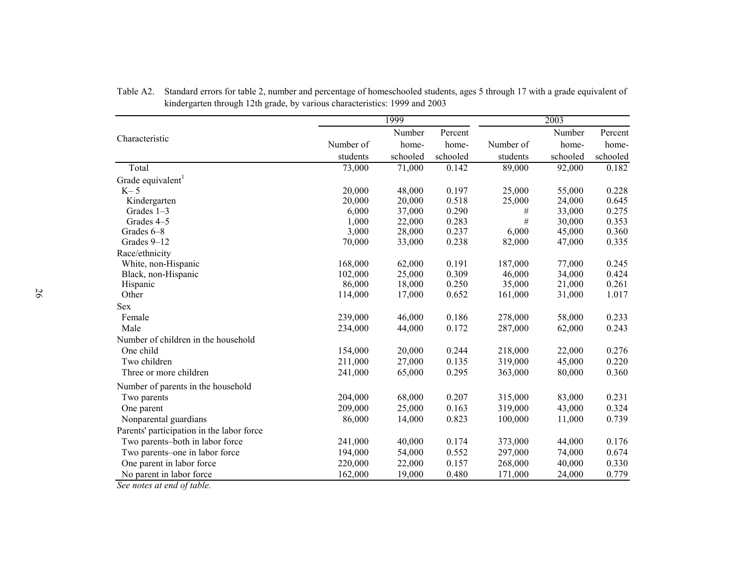| Number<br>Percent<br>Number<br>Characteristic<br>Number of<br>Number of<br>home-<br>home-<br>home-<br>schooled<br>students<br>schooled<br>students<br>schooled<br>73,000<br>Total<br>71,000<br>0.142<br>89,000<br>92,000<br>Grade equivalent <sup>1</sup><br>20,000<br>48,000<br>0.197<br>25,000<br>55,000<br>$K-5$<br>0.518<br>Kindergarten<br>20,000<br>20,000<br>25,000<br>24,000 | Percent<br>home-<br>schooled<br>0.182<br>0.228 |
|--------------------------------------------------------------------------------------------------------------------------------------------------------------------------------------------------------------------------------------------------------------------------------------------------------------------------------------------------------------------------------------|------------------------------------------------|
|                                                                                                                                                                                                                                                                                                                                                                                      |                                                |
|                                                                                                                                                                                                                                                                                                                                                                                      |                                                |
|                                                                                                                                                                                                                                                                                                                                                                                      |                                                |
|                                                                                                                                                                                                                                                                                                                                                                                      |                                                |
|                                                                                                                                                                                                                                                                                                                                                                                      |                                                |
|                                                                                                                                                                                                                                                                                                                                                                                      |                                                |
|                                                                                                                                                                                                                                                                                                                                                                                      | 0.645                                          |
| 0.290<br>33,000<br>Grades 1-3<br>6,000<br>37,000<br>#                                                                                                                                                                                                                                                                                                                                | 0.275                                          |
| $\#$<br>0.283<br>Grades 4-5<br>1,000<br>22,000<br>30,000                                                                                                                                                                                                                                                                                                                             | 0.353                                          |
| 3,000<br>0.237<br>6,000<br>45,000<br>Grades 6-8<br>28,000                                                                                                                                                                                                                                                                                                                            | 0.360                                          |
| 0.238<br>70,000<br>82,000<br>47,000<br>Grades 9-12<br>33,000                                                                                                                                                                                                                                                                                                                         | 0.335                                          |
| Race/ethnicity                                                                                                                                                                                                                                                                                                                                                                       |                                                |
| White, non-Hispanic<br>168,000<br>62,000<br>0.191<br>77,000<br>187,000                                                                                                                                                                                                                                                                                                               | 0.245                                          |
| 0.309<br>102,000<br>46,000<br>34,000<br>Black, non-Hispanic<br>25,000                                                                                                                                                                                                                                                                                                                | 0.424                                          |
| 0.250<br>86,000<br>18,000<br>35,000<br>21,000<br>Hispanic                                                                                                                                                                                                                                                                                                                            | 0.261                                          |
| Other<br>114,000<br>0.652<br>161,000<br>17,000<br>31,000                                                                                                                                                                                                                                                                                                                             | 1.017                                          |
| <b>Sex</b>                                                                                                                                                                                                                                                                                                                                                                           |                                                |
| 0.186<br>278,000<br>58,000<br>Female<br>239,000<br>46,000                                                                                                                                                                                                                                                                                                                            | 0.233                                          |
| Male<br>0.172<br>287,000<br>62,000<br>234,000<br>44,000                                                                                                                                                                                                                                                                                                                              | 0.243                                          |
| Number of children in the household                                                                                                                                                                                                                                                                                                                                                  |                                                |
| One child<br>0.244<br>154,000<br>20,000<br>218,000<br>22,000                                                                                                                                                                                                                                                                                                                         | 0.276                                          |
| 0.135<br>319,000<br>45,000<br>Two children<br>211,000<br>27,000                                                                                                                                                                                                                                                                                                                      | 0.220                                          |
| 0.295<br>363,000<br>80,000<br>Three or more children<br>241,000<br>65,000                                                                                                                                                                                                                                                                                                            | 0.360                                          |
| Number of parents in the household                                                                                                                                                                                                                                                                                                                                                   |                                                |
| Two parents<br>204,000<br>68,000<br>0.207<br>315,000<br>83,000                                                                                                                                                                                                                                                                                                                       | 0.231                                          |
| 0.163<br>209,000<br>25,000<br>319,000<br>43,000<br>One parent                                                                                                                                                                                                                                                                                                                        | 0.324                                          |
| 0.823<br>Nonparental guardians<br>86,000<br>14,000<br>100,000<br>11,000                                                                                                                                                                                                                                                                                                              | 0.739                                          |
| Parents' participation in the labor force                                                                                                                                                                                                                                                                                                                                            |                                                |
| Two parents-both in labor force<br>40,000<br>0.174<br>373,000<br>241,000<br>44,000                                                                                                                                                                                                                                                                                                   | 0.176                                          |
| 297,000<br>Two parents-one in labor force<br>194,000<br>54,000<br>0.552<br>74,000                                                                                                                                                                                                                                                                                                    | 0.674                                          |
| 0.157<br>One parent in labor force<br>220,000<br>268,000<br>40,000<br>22,000                                                                                                                                                                                                                                                                                                         | 0.330                                          |
| No parent in labor force<br>162,000<br>0.480<br>171,000<br>24,000<br>19,000                                                                                                                                                                                                                                                                                                          | 0.779                                          |

Table A2. Standard errors for table 2, number and percentage of homeschooled students, ages 5 through 17 with a grade equivalent of kindergarten through 12th grade, by various characteristics: 1999 and 2003

*See notes at end of table.*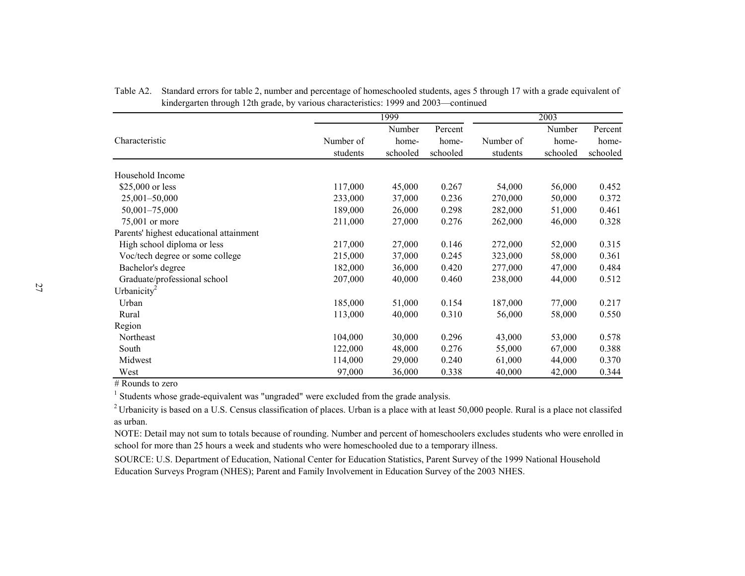|                                         |           | 1999     |          |           | 2003     |          |
|-----------------------------------------|-----------|----------|----------|-----------|----------|----------|
|                                         |           | Number   | Percent  |           | Number   | Percent  |
| Characteristic                          | Number of | home-    | home-    | Number of | home-    | home-    |
|                                         | students  | schooled | schooled | students  | schooled | schooled |
| Household Income                        |           |          |          |           |          |          |
| \$25,000 or less                        | 117,000   | 45,000   | 0.267    | 54,000    | 56,000   | 0.452    |
| $25,001 - 50,000$                       | 233,000   | 37,000   | 0.236    | 270,000   | 50,000   | 0.372    |
| $50,001 - 75,000$                       | 189,000   | 26,000   | 0.298    | 282,000   | 51,000   | 0.461    |
| 75,001 or more                          | 211,000   | 27,000   | 0.276    | 262,000   | 46,000   | 0.328    |
| Parents' highest educational attainment |           |          |          |           |          |          |
| High school diploma or less             | 217,000   | 27,000   | 0.146    | 272,000   | 52,000   | 0.315    |
| Voc/tech degree or some college         | 215,000   | 37,000   | 0.245    | 323,000   | 58,000   | 0.361    |
| Bachelor's degree                       | 182,000   | 36,000   | 0.420    | 277,000   | 47,000   | 0.484    |
| Graduate/professional school            | 207,000   | 40,000   | 0.460    | 238,000   | 44,000   | 0.512    |
| Urbanicity <sup>2</sup>                 |           |          |          |           |          |          |
| Urban                                   | 185,000   | 51,000   | 0.154    | 187,000   | 77,000   | 0.217    |
| Rural                                   | 113,000   | 40,000   | 0.310    | 56,000    | 58,000   | 0.550    |
| Region                                  |           |          |          |           |          |          |
| Northeast                               | 104,000   | 30,000   | 0.296    | 43,000    | 53,000   | 0.578    |
| South                                   | 122,000   | 48,000   | 0.276    | 55,000    | 67,000   | 0.388    |
| Midwest                                 | 114,000   | 29,000   | 0.240    | 61,000    | 44,000   | 0.370    |
| West                                    | 97,000    | 36,000   | 0.338    | 40,000    | 42,000   | 0.344    |

Table A2. Standard errors for table 2, number and percentage of homeschooled students, ages 5 through 17 with a grade equivalent of kindergarten through 12th grade, by various characteristics: 1999 and 2003—continued

# Rounds to zero

<sup>1</sup> Students whose grade-equivalent was "ungraded" were excluded from the grade analysis.

 $2$  Urbanicity is based on a U.S. Census classification of places. Urban is a place with at least 50,000 people. Rural is a place not classifed as urban.

NOTE: Detail may not sum to totals because of rounding. Number and percent of homeschoolers excludes students who were enrolled in school for more than 25 hours a week and students who were homeschooled due to a temporary illness.

SOURCE: U.S. Department of Education, National Center for Education Statistics, Parent Survey of the 1999 National Household Education Surveys Program (NHES); Parent and Family Involvement in Education Survey of the 2003 NHES.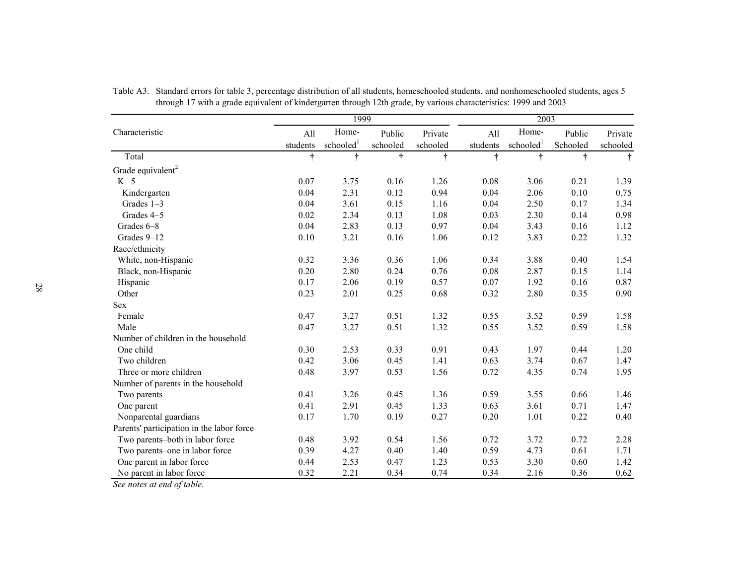|                                           |            | 1999                  |           |           |            | 2003                  |           |            |
|-------------------------------------------|------------|-----------------------|-----------|-----------|------------|-----------------------|-----------|------------|
| Characteristic                            | All        | Home-                 | Public    | Private   | All        | Home-                 | Public    | Private    |
|                                           | students   | schooled <sup>1</sup> | schooled  | schooled  | students   | schooled <sup>1</sup> | Schooled  | schooled   |
| Total                                     | $\ddagger$ | Ť                     | $\dagger$ | $\dagger$ | $\ddagger$ | Ť                     | $\dagger$ | $\ddagger$ |
| Grade equivalent <sup>2</sup>             |            |                       |           |           |            |                       |           |            |
| $K-5$                                     | 0.07       | 3.75                  | 0.16      | 1.26      | 0.08       | 3.06                  | 0.21      | 1.39       |
| Kindergarten                              | 0.04       | 2.31                  | 0.12      | 0.94      | 0.04       | 2.06                  | 0.10      | 0.75       |
| Grades 1-3                                | 0.04       | 3.61                  | 0.15      | 1.16      | 0.04       | 2.50                  | 0.17      | 1.34       |
| Grades 4-5                                | 0.02       | 2.34                  | 0.13      | 1.08      | 0.03       | 2.30                  | 0.14      | 0.98       |
| Grades 6-8                                | 0.04       | 2.83                  | 0.13      | 0.97      | 0.04       | 3.43                  | 0.16      | 1.12       |
| Grades 9-12                               | $0.10\,$   | 3.21                  | 0.16      | 1.06      | 0.12       | 3.83                  | 0.22      | 1.32       |
| Race/ethnicity                            |            |                       |           |           |            |                       |           |            |
| White, non-Hispanic                       | 0.32       | 3.36                  | 0.36      | 1.06      | 0.34       | 3.88                  | 0.40      | 1.54       |
| Black, non-Hispanic                       | 0.20       | 2.80                  | 0.24      | 0.76      | 0.08       | 2.87                  | 0.15      | 1.14       |
| Hispanic                                  | 0.17       | 2.06                  | 0.19      | 0.57      | 0.07       | 1.92                  | 0.16      | 0.87       |
| Other                                     | 0.23       | 2.01                  | 0.25      | 0.68      | 0.32       | 2.80                  | 0.35      | 0.90       |
| <b>Sex</b>                                |            |                       |           |           |            |                       |           |            |
| Female                                    | 0.47       | 3.27                  | 0.51      | 1.32      | 0.55       | 3.52                  | 0.59      | 1.58       |
| Male                                      | 0.47       | 3.27                  | 0.51      | 1.32      | 0.55       | 3.52                  | 0.59      | 1.58       |
| Number of children in the household       |            |                       |           |           |            |                       |           |            |
| One child                                 | 0.30       | 2.53                  | 0.33      | 0.91      | 0.43       | 1.97                  | 0.44      | 1.20       |
| Two children                              | 0.42       | 3.06                  | 0.45      | 1.41      | 0.63       | 3.74                  | 0.67      | 1.47       |
| Three or more children                    | 0.48       | 3.97                  | 0.53      | 1.56      | 0.72       | 4.35                  | 0.74      | 1.95       |
| Number of parents in the household        |            |                       |           |           |            |                       |           |            |
| Two parents                               | 0.41       | 3.26                  | 0.45      | 1.36      | 0.59       | 3.55                  | 0.66      | 1.46       |
| One parent                                | 0.41       | 2.91                  | 0.45      | 1.33      | 0.63       | 3.61                  | 0.71      | 1.47       |
| Nonparental guardians                     | 0.17       | 1.70                  | 0.19      | 0.27      | 0.20       | 1.01                  | 0.22      | 0.40       |
| Parents' participation in the labor force |            |                       |           |           |            |                       |           |            |
| Two parents-both in labor force           | 0.48       | 3.92                  | 0.54      | 1.56      | 0.72       | 3.72                  | 0.72      | 2.28       |
| Two parents-one in labor force            | 0.39       | 4.27                  | 0.40      | 1.40      | 0.59       | 4.73                  | 0.61      | 1.71       |
| One parent in labor force                 | 0.44       | 2.53                  | 0.47      | 1.23      | 0.53       | 3.30                  | 0.60      | 1.42       |
| No parent in labor force                  | 0.32       | 2.21                  | 0.34      | 0.74      | 0.34       | 2.16                  | 0.36      | 0.62       |

Table A3. Standard errors for table 3, percentage distribution of all students, homeschooled students, and nonhomeschooled students, ages 5 through 17 with a grade equivalent of kindergarten through 12th grade, by various characteristics: 1999 and 2003

*See notes at end of table.*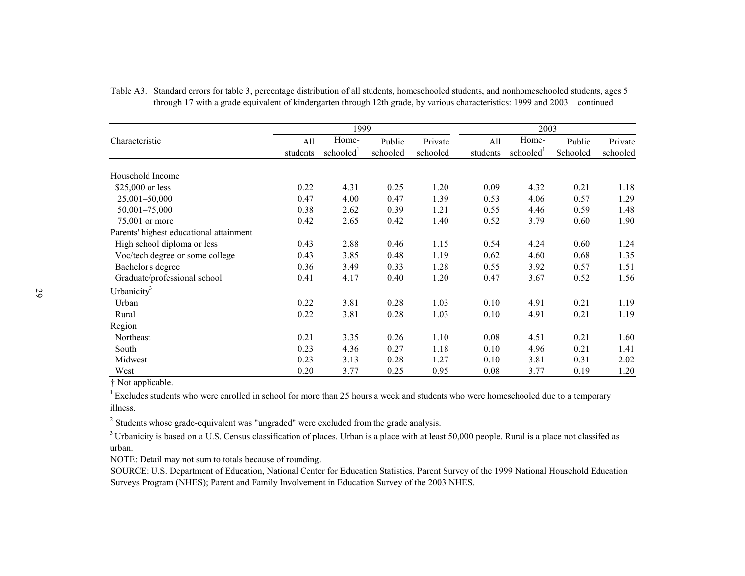|                                         | 1999     |                       |          |          | 2003     |          |          |          |
|-----------------------------------------|----------|-----------------------|----------|----------|----------|----------|----------|----------|
| Characteristic                          | All      | Home-                 | Public   | Private  | All      | Home-    | Public   | Private  |
|                                         | students | schooled <sup>1</sup> | schooled | schooled | students | schooled | Schooled | schooled |
| Household Income                        |          |                       |          |          |          |          |          |          |
| \$25,000 or less                        | 0.22     | 4.31                  | 0.25     | 1.20     | 0.09     | 4.32     | 0.21     | 1.18     |
| $25,001 - 50,000$                       | 0.47     | 4.00                  | 0.47     | 1.39     | 0.53     | 4.06     | 0.57     | 1.29     |
| 50,001-75,000                           | 0.38     | 2.62                  | 0.39     | 1.21     | 0.55     | 4.46     | 0.59     | 1.48     |
| 75,001 or more                          | 0.42     | 2.65                  | 0.42     | 1.40     | 0.52     | 3.79     | 0.60     | 1.90     |
| Parents' highest educational attainment |          |                       |          |          |          |          |          |          |
| High school diploma or less             | 0.43     | 2.88                  | 0.46     | 1.15     | 0.54     | 4.24     | 0.60     | 1.24     |
| Voc/tech degree or some college         | 0.43     | 3.85                  | 0.48     | 1.19     | 0.62     | 4.60     | 0.68     | 1.35     |
| Bachelor's degree                       | 0.36     | 3.49                  | 0.33     | 1.28     | 0.55     | 3.92     | 0.57     | 1.51     |
| Graduate/professional school            | 0.41     | 4.17                  | 0.40     | 1.20     | 0.47     | 3.67     | 0.52     | 1.56     |
| Urbanicity <sup>3</sup>                 |          |                       |          |          |          |          |          |          |
| Urban                                   | 0.22     | 3.81                  | 0.28     | 1.03     | 0.10     | 4.91     | 0.21     | 1.19     |
| Rural                                   | 0.22     | 3.81                  | 0.28     | 1.03     | 0.10     | 4.91     | 0.21     | 1.19     |
| Region                                  |          |                       |          |          |          |          |          |          |
| Northeast                               | 0.21     | 3.35                  | 0.26     | 1.10     | 0.08     | 4.51     | 0.21     | 1.60     |
| South                                   | 0.23     | 4.36                  | 0.27     | 1.18     | 0.10     | 4.96     | 0.21     | 1.41     |
| Midwest                                 | 0.23     | 3.13                  | 0.28     | 1.27     | 0.10     | 3.81     | 0.31     | 2.02     |
| West                                    | 0.20     | 3.77                  | 0.25     | 0.95     | 0.08     | 3.77     | 0.19     | 1.20     |

| Table A3. Standard errors for table 3, percentage distribution of all students, homeschooled students, and nonhomeschooled students, ages 5 |
|---------------------------------------------------------------------------------------------------------------------------------------------|
| through 17 with a grade equivalent of kindergarten through 12th grade, by various characteristics: 1999 and 2003—continued                  |

† Not applicable.

 $1$  Excludes students who were enrolled in school for more than 25 hours a week and students who were homeschooled due to a temporary illness.

<sup>2</sup> Students whose grade-equivalent was "ungraded" were excluded from the grade analysis.

 $3$  Urbanicity is based on a U.S. Census classification of places. Urban is a place with at least 50,000 people. Rural is a place not classifed as urban.

NOTE: Detail may not sum to totals because of rounding.

SOURCE: U.S. Department of Education, National Center for Education Statistics, Parent Survey of the 1999 National Household Education Surveys Program (NHES); Parent and Family Involvement in Education Survey of the 2003 NHES.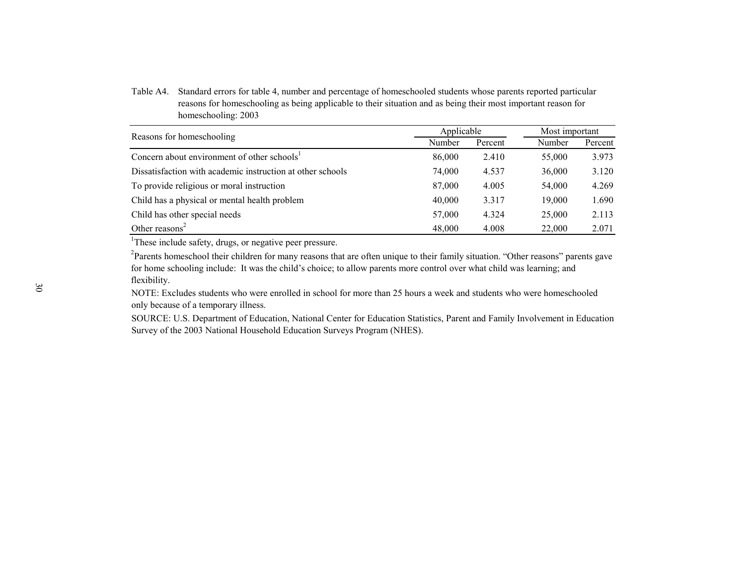Table A4. Standard errors for table 4, number and percentage of homeschooled students whose parents reported particular reasons for homeschooling as being applicable to their situation and as being their most important reason for homeschooling: 2003

| Reasons for homeschooling                                  | Applicable |         | Most important |         |  |
|------------------------------------------------------------|------------|---------|----------------|---------|--|
|                                                            | Number     | Percent | Number         | Percent |  |
| Concern about environment of other schools <sup>1</sup>    | 86,000     | 2.410   | 55,000         | 3.973   |  |
| Dissatisfaction with academic instruction at other schools | 74,000     | 4.537   | 36,000         | 3.120   |  |
| To provide religious or moral instruction                  | 87,000     | 4.005   | 54,000         | 4.269   |  |
| Child has a physical or mental health problem              | 40,000     | 3.317   | 19.000         | 1.690   |  |
| Child has other special needs                              | 57,000     | 4.324   | 25,000         | 2.113   |  |
| Other reasons $2$                                          | 48,000     | 4.008   | 22,000         | 2.071   |  |

<sup>1</sup>These include safety, drugs, or negative peer pressure.

<sup>2</sup>Parents homeschool their children for many reasons that are often unique to their family situation. "Other reasons" parents gave for home schooling include: It was the child's choice; to allow parents more control over what child was learning; and flexibility.

NOTE: Excludes students who were enrolled in school for more than 25 hours a week and students who were homeschooled only because of a temporary illness.

SOURCE: U.S. Department of Education, National Center for Education Statistics, Parent and Family Involvement in Education Survey of the 2003 National Household Education Surveys Program (NHES).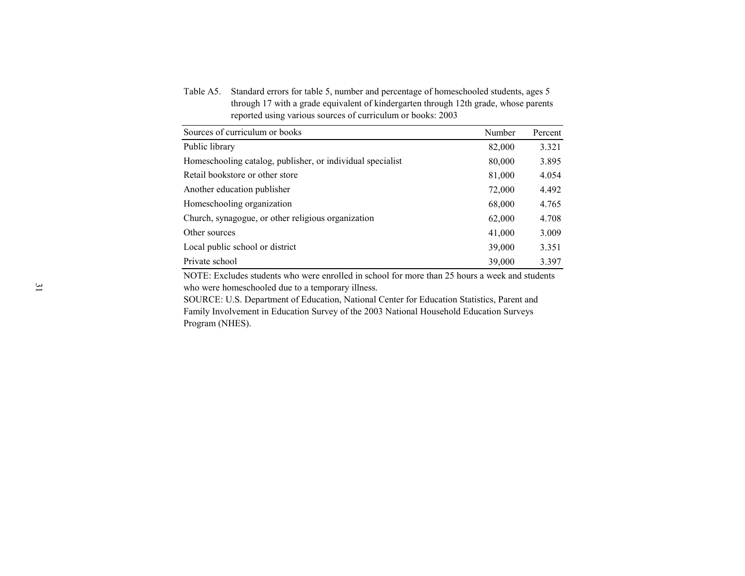Table A5. Standard errors for table 5, number and percentage of homeschooled students, ages 5 through 17 with a grade equivalent of kindergarten through 12th grade, whose parents reported using various sources of curriculum or books: 2003

| Sources of curriculum or books                             | Number | Percent |
|------------------------------------------------------------|--------|---------|
| Public library                                             | 82,000 | 3.321   |
| Homeschooling catalog, publisher, or individual specialist | 80,000 | 3.895   |
| Retail bookstore or other store                            | 81,000 | 4.054   |
| Another education publisher                                | 72,000 | 4.492   |
| Homeschooling organization                                 | 68,000 | 4.765   |
| Church, synagogue, or other religious organization         | 62,000 | 4.708   |
| Other sources                                              | 41,000 | 3.009   |
| Local public school or district                            | 39,000 | 3.351   |
| Private school                                             | 39,000 | 3.397   |

NOTE: Excludes students who were enrolled in school for more than 25 hours a week and students who were homeschooled due to a temporary illness.

SOURCE: U.S. Department of Education, National Center for Education Statistics, Parent and Family Involvement in Education Survey of the 2003 National Household Education Surveys Program (NHES).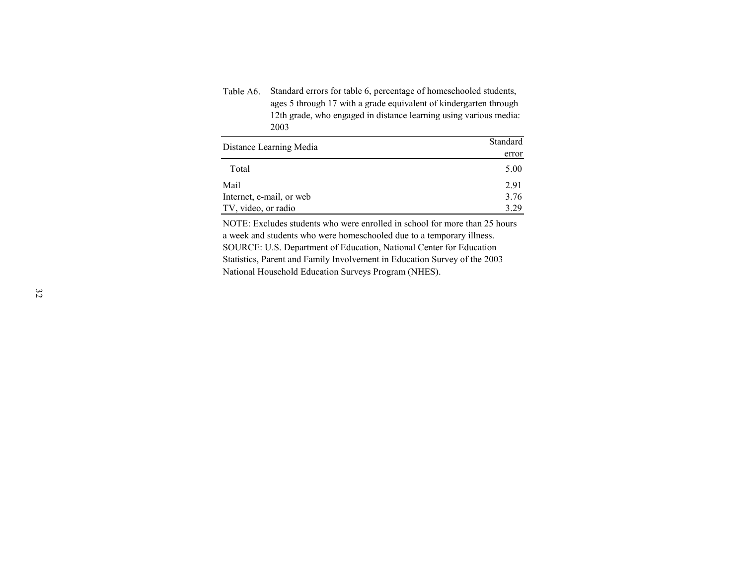| Table A6. Standard errors for table 6, percentage of homeschooled students, |
|-----------------------------------------------------------------------------|
| ages 5 through 17 with a grade equivalent of kindergarten through           |
| 12th grade, who engaged in distance learning using various media:           |
| 2003                                                                        |
|                                                                             |

| Distance Learning Media  | Standard |
|--------------------------|----------|
|                          | error    |
| Total                    | 5.00     |
| Mail                     | 2.91     |
| Internet, e-mail, or web | 3.76     |
| TV, video, or radio      | 3 29     |

SOURCE: U.S. Department of Education, National Center for Education Statistics, Parent and Family Involvement in Education Survey of the 2003 National Household Education Surveys Program (NHES). NOTE: Excludes students who were enrolled in school for more than 25 hours a week and students who were homeschooled due to a temporary illness.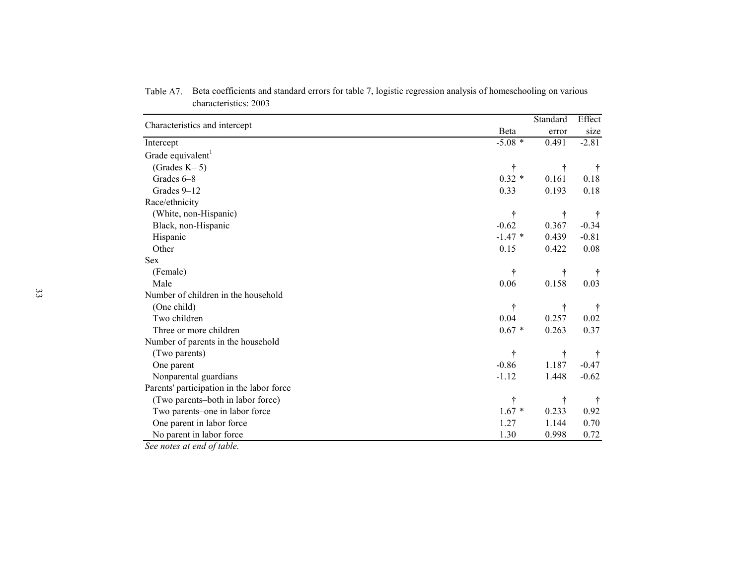|                                           |           | Standard  | Effect        |
|-------------------------------------------|-----------|-----------|---------------|
| Characteristics and intercept             | Beta      | error     | size          |
| Intercept                                 | $-5.08$ * | 0.491     | $-2.81$       |
| Grade equivalent <sup>1</sup>             |           |           |               |
| (Grades $K-5$ )                           | $\dagger$ | t         | $\dagger$     |
| Grades 6-8                                | $0.32 *$  | 0.161     | 0.18          |
| Grades 9-12                               | 0.33      | 0.193     | 0.18          |
| Race/ethnicity                            |           |           |               |
| (White, non-Hispanic)                     | t         | t         |               |
| Black, non-Hispanic                       | $-0.62$   | 0.367     | $-0.34$       |
| Hispanic                                  | $-1.47*$  | 0.439     | $-0.81$       |
| Other                                     | 0.15      | 0.422     | 0.08          |
| <b>Sex</b>                                |           |           |               |
| (Female)                                  | Ť         | t         | $\ddot{\tau}$ |
| Male                                      | 0.06      | 0.158     | 0.03          |
| Number of children in the household       |           |           |               |
| (One child)                               | t         | t         | $\dagger$     |
| Two children                              | 0.04      | 0.257     | $0.02\,$      |
| Three or more children                    | $0.67 *$  | 0.263     | 0.37          |
| Number of parents in the household        |           |           |               |
| (Two parents)                             | $\dagger$ | $\dagger$ |               |
| One parent                                | $-0.86$   | 1.187     | $-0.47$       |
| Nonparental guardians                     | $-1.12$   | 1.448     | $-0.62$       |
| Parents' participation in the labor force |           |           |               |
| (Two parents-both in labor force)         | t         | t         | $\ddot{\tau}$ |
| Two parents-one in labor force            | $1.67*$   | 0.233     | 0.92          |
| One parent in labor force                 | 1.27      | 1.144     | 0.70          |
| No parent in labor force                  | 1.30      | 0.998     | 0.72          |

Table A7. Beta coefficients and standard errors for table 7, logistic regression analysis of homeschooling on various characteristics: 2003

*See notes at end of table.*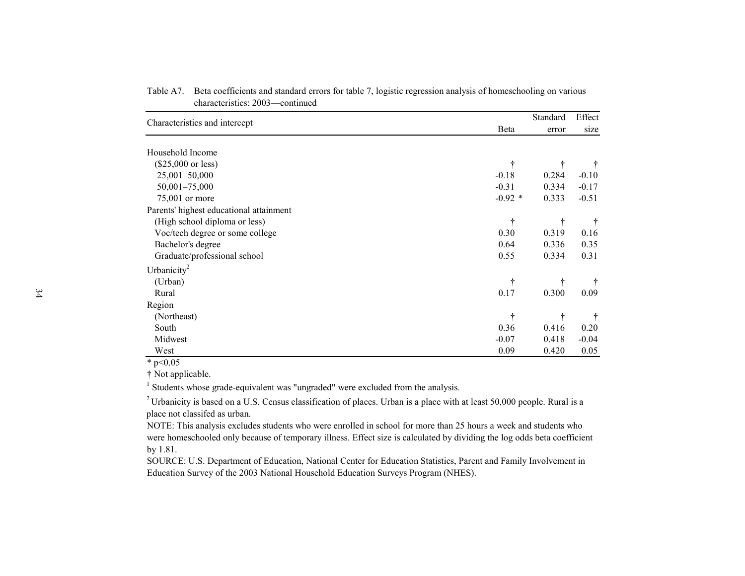| Characteristics and intercept           |              | Standard | Effect  |
|-----------------------------------------|--------------|----------|---------|
|                                         | <b>B</b> eta | error    | size    |
|                                         |              |          |         |
| Household Income                        |              |          |         |
| $(\$25,000$ or less)                    | ÷            | t        |         |
| 25,001-50,000                           | $-0.18$      | 0.284    | $-0.10$ |
| 50,001-75,000                           | $-0.31$      | 0.334    | $-0.17$ |
| 75,001 or more                          | $-0.92$ *    | 0.333    | $-0.51$ |
| Parents' highest educational attainment |              |          |         |
| (High school diploma or less)           | $\dagger$    | t        |         |
| Voc/tech degree or some college         | 0.30         | 0.319    | 0.16    |
| Bachelor's degree                       | 0.64         | 0.336    | 0.35    |
| Graduate/professional school            | 0.55         | 0.334    | 0.31    |
| Urbanicity <sup>2</sup>                 |              |          |         |
| (Urban)                                 | t            | t        |         |
| Rural                                   | 0.17         | 0.300    | 0.09    |
| Region                                  |              |          |         |
| (Northeast)                             | t            | t        |         |
| South                                   | 0.36         | 0.416    | 0.20    |
| Midwest                                 | $-0.07$      | 0.418    | $-0.04$ |
| West                                    | 0.09         | 0.420    | 0.05    |

Table A7. Beta coefficients and standard errors for table 7, logistic regression analysis of homeschooling on various characteristics: 2003—continued

 $*$  p<0.05

† Not applicable.

<sup>1</sup> Students whose grade-equivalent was "ungraded" were excluded from the analysis.

<sup>2</sup> Urbanicity is based on a U.S. Census classification of places. Urban is a place with at least 50,000 people. Rural is a place not classifed as urban.

NOTE: This analysis excludes students who were enrolled in school for more than 25 hours a week and students who were homeschooled only because of temporary illness. Effect size is calculated by dividing the log odds beta coefficient by 1.81.

SOURCE: U.S. Department of Education, National Center for Education Statistics, Parent and Family Involvement in Education Survey of the 2003 National Household Education Surveys Program (NHES).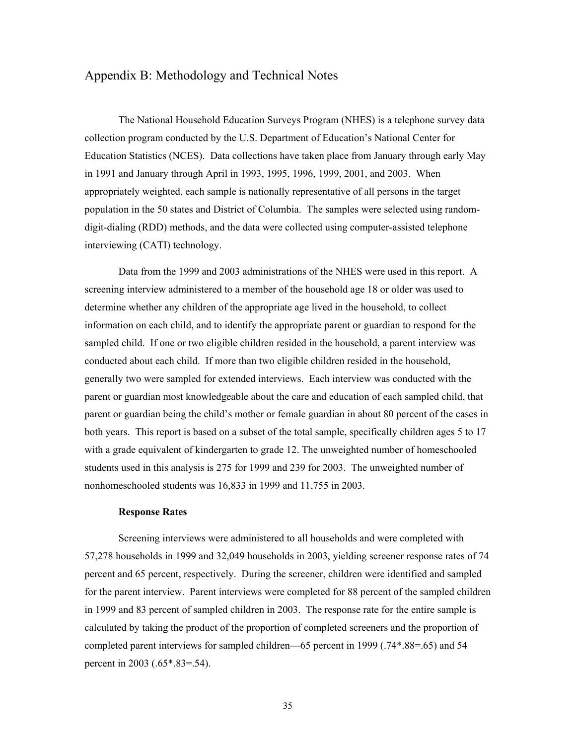# Appendix B: Methodology and Technical Notes

The National Household Education Surveys Program (NHES) is a telephone survey data collection program conducted by the U.S. Department of Education's National Center for Education Statistics (NCES). Data collections have taken place from January through early May in 1991 and January through April in 1993, 1995, 1996, 1999, 2001, and 2003. When appropriately weighted, each sample is nationally representative of all persons in the target population in the 50 states and District of Columbia. The samples were selected using randomdigit-dialing (RDD) methods, and the data were collected using computer-assisted telephone interviewing (CATI) technology.

Data from the 1999 and 2003 administrations of the NHES were used in this report. A screening interview administered to a member of the household age 18 or older was used to determine whether any children of the appropriate age lived in the household, to collect information on each child, and to identify the appropriate parent or guardian to respond for the sampled child. If one or two eligible children resided in the household, a parent interview was conducted about each child. If more than two eligible children resided in the household, generally two were sampled for extended interviews. Each interview was conducted with the parent or guardian most knowledgeable about the care and education of each sampled child, that parent or guardian being the child's mother or female guardian in about 80 percent of the cases in both years. This report is based on a subset of the total sample, specifically children ages 5 to 17 with a grade equivalent of kindergarten to grade 12. The unweighted number of homeschooled students used in this analysis is 275 for 1999 and 239 for 2003. The unweighted number of nonhomeschooled students was 16,833 in 1999 and 11,755 in 2003.

## **Response Rates**

Screening interviews were administered to all households and were completed with 57,278 households in 1999 and 32,049 households in 2003, yielding screener response rates of 74 percent and 65 percent, respectively. During the screener, children were identified and sampled for the parent interview. Parent interviews were completed for 88 percent of the sampled children in 1999 and 83 percent of sampled children in 2003. The response rate for the entire sample is calculated by taking the product of the proportion of completed screeners and the proportion of completed parent interviews for sampled children—65 percent in 1999 (.74\*.88=.65) and 54 percent in 2003 (.65\*.83=.54).

35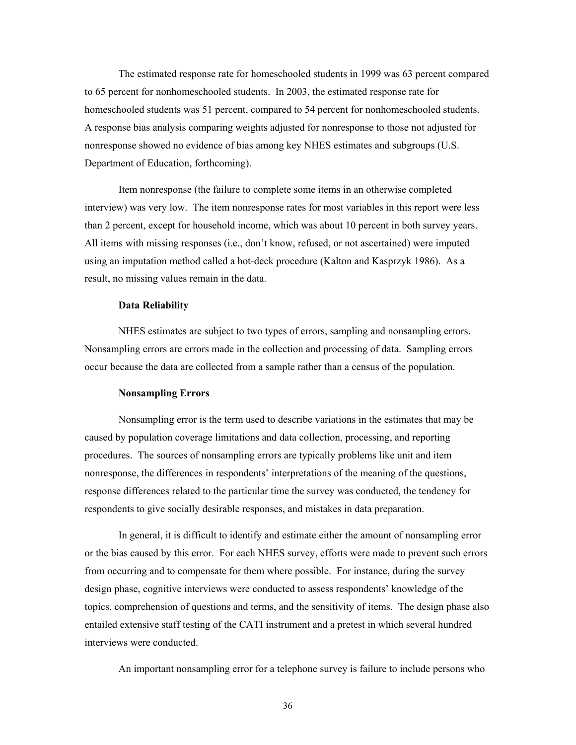The estimated response rate for homeschooled students in 1999 was 63 percent compared to 65 percent for nonhomeschooled students. In 2003, the estimated response rate for homeschooled students was 51 percent, compared to 54 percent for nonhomeschooled students. A response bias analysis comparing weights adjusted for nonresponse to those not adjusted for nonresponse showed no evidence of bias among key NHES estimates and subgroups (U.S. Department of Education, forthcoming).

Item nonresponse (the failure to complete some items in an otherwise completed interview) was very low. The item nonresponse rates for most variables in this report were less than 2 percent, except for household income, which was about 10 percent in both survey years. All items with missing responses (i.e., don't know, refused, or not ascertained) were imputed using an imputation method called a hot-deck procedure (Kalton and Kasprzyk 1986). As a result, no missing values remain in the data.

## **Data Reliability**

NHES estimates are subject to two types of errors, sampling and nonsampling errors. Nonsampling errors are errors made in the collection and processing of data. Sampling errors occur because the data are collected from a sample rather than a census of the population.

## **Nonsampling Errors**

Nonsampling error is the term used to describe variations in the estimates that may be caused by population coverage limitations and data collection, processing, and reporting procedures. The sources of nonsampling errors are typically problems like unit and item nonresponse, the differences in respondents' interpretations of the meaning of the questions, response differences related to the particular time the survey was conducted, the tendency for respondents to give socially desirable responses, and mistakes in data preparation.

In general, it is difficult to identify and estimate either the amount of nonsampling error or the bias caused by this error. For each NHES survey, efforts were made to prevent such errors from occurring and to compensate for them where possible. For instance, during the survey design phase, cognitive interviews were conducted to assess respondents' knowledge of the topics, comprehension of questions and terms, and the sensitivity of items. The design phase also entailed extensive staff testing of the CATI instrument and a pretest in which several hundred interviews were conducted.

An important nonsampling error for a telephone survey is failure to include persons who

36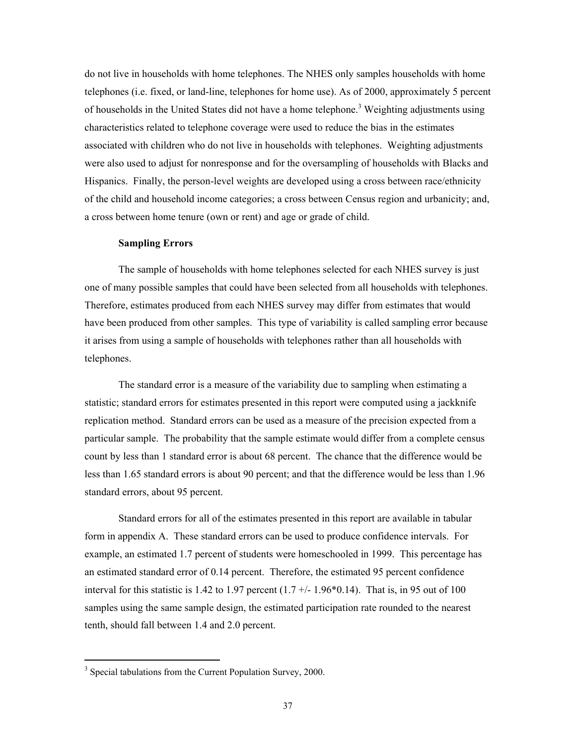do not live in households with home telephones. The NHES only samples households with home telephones (i.e. fixed, or land-line, telephones for home use). As of 2000, approximately 5 percent of households in the United States did not have a home telephone.<sup>3</sup> Weighting adjustments using characteristics related to telephone coverage were used to reduce the bias in the estimates associated with children who do not live in households with telephones. Weighting adjustments were also used to adjust for nonresponse and for the oversampling of households with Blacks and Hispanics. Finally, the person-level weights are developed using a cross between race/ethnicity of the child and household income categories; a cross between Census region and urbanicity; and, a cross between home tenure (own or rent) and age or grade of child.

## **Sampling Errors**

The sample of households with home telephones selected for each NHES survey is just one of many possible samples that could have been selected from all households with telephones. Therefore, estimates produced from each NHES survey may differ from estimates that would have been produced from other samples. This type of variability is called sampling error because it arises from using a sample of households with telephones rather than all households with telephones.

The standard error is a measure of the variability due to sampling when estimating a statistic; standard errors for estimates presented in this report were computed using a jackknife replication method. Standard errors can be used as a measure of the precision expected from a particular sample. The probability that the sample estimate would differ from a complete census count by less than 1 standard error is about 68 percent. The chance that the difference would be less than 1.65 standard errors is about 90 percent; and that the difference would be less than 1.96 standard errors, about 95 percent.

Standard errors for all of the estimates presented in this report are available in tabular form in appendix A. These standard errors can be used to produce confidence intervals. For example, an estimated 1.7 percent of students were homeschooled in 1999. This percentage has an estimated standard error of 0.14 percent. Therefore, the estimated 95 percent confidence interval for this statistic is 1.42 to 1.97 percent  $(1.7 + (-1.96 * 0.14)$ . That is, in 95 out of 100 samples using the same sample design, the estimated participation rate rounded to the nearest tenth, should fall between 1.4 and 2.0 percent.

 $\overline{a}$ 

<sup>&</sup>lt;sup>3</sup> Special tabulations from the Current Population Survey, 2000.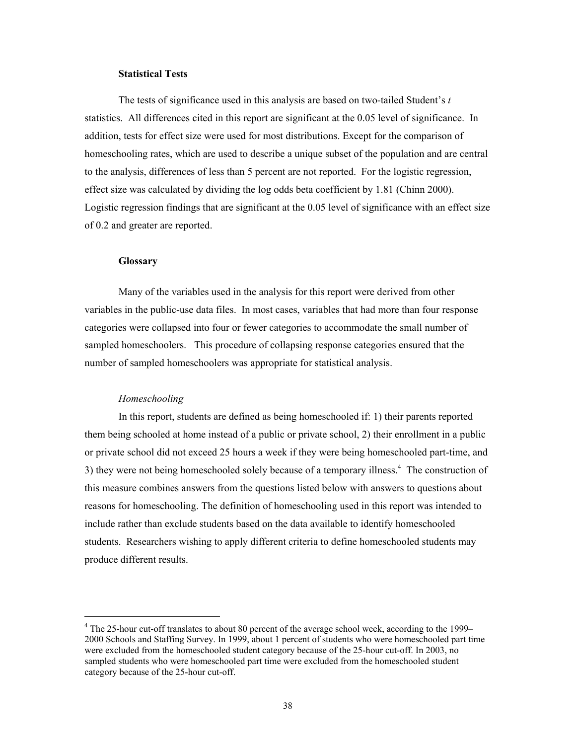## **Statistical Tests**

The tests of significance used in this analysis are based on two-tailed Student's *t* statistics. All differences cited in this report are significant at the 0.05 level of significance. In addition, tests for effect size were used for most distributions. Except for the comparison of homeschooling rates, which are used to describe a unique subset of the population and are central to the analysis, differences of less than 5 percent are not reported. For the logistic regression, effect size was calculated by dividing the log odds beta coefficient by 1.81 (Chinn 2000). Logistic regression findings that are significant at the 0.05 level of significance with an effect size of 0.2 and greater are reported.

## **Glossary**

Many of the variables used in the analysis for this report were derived from other variables in the public-use data files. In most cases, variables that had more than four response categories were collapsed into four or fewer categories to accommodate the small number of sampled homeschoolers. This procedure of collapsing response categories ensured that the number of sampled homeschoolers was appropriate for statistical analysis.

### *Homeschooling*

 $\overline{a}$ 

In this report, students are defined as being homeschooled if: 1) their parents reported them being schooled at home instead of a public or private school, 2) their enrollment in a public or private school did not exceed 25 hours a week if they were being homeschooled part-time, and 3) they were not being homeschooled solely because of a temporary illness.<sup>4</sup> The construction of this measure combines answers from the questions listed below with answers to questions about reasons for homeschooling. The definition of homeschooling used in this report was intended to include rather than exclude students based on the data available to identify homeschooled students. Researchers wishing to apply different criteria to define homeschooled students may produce different results.

<sup>&</sup>lt;sup>4</sup> The 25-hour cut-off translates to about 80 percent of the average school week, according to the 1999– 2000 Schools and Staffing Survey. In 1999, about 1 percent of students who were homeschooled part time were excluded from the homeschooled student category because of the 25-hour cut-off. In 2003, no sampled students who were homeschooled part time were excluded from the homeschooled student category because of the 25-hour cut-off.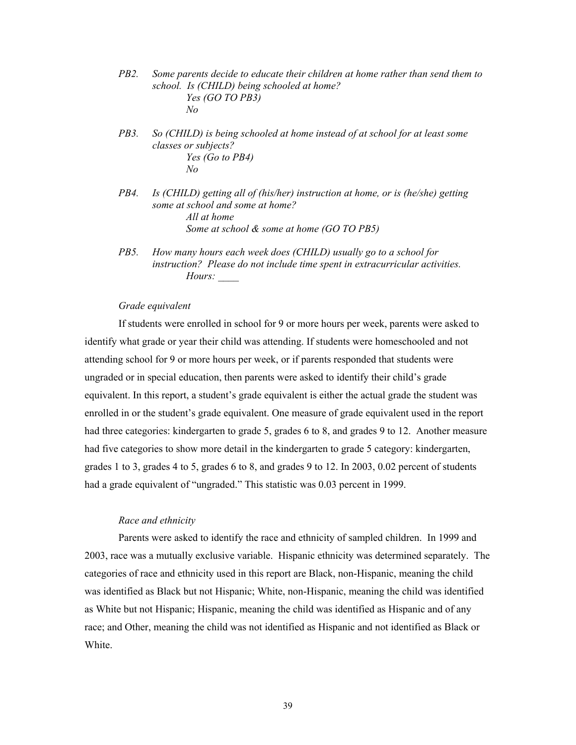- *PB2. Some parents decide to educate their children at home rather than send them to school. Is (CHILD) being schooled at home? Yes (GO TO PB3) No*
- *PB3. So (CHILD) is being schooled at home instead of at school for at least some classes or subjects? Yes (Go to PB4) No*
- *PB4. Is (CHILD) getting all of (his/her) instruction at home, or is (he/she) getting some at school and some at home? All at home Some at school & some at home (GO TO PB5)*
- *PB5. How many hours each week does (CHILD) usually go to a school for instruction? Please do not include time spent in extracurricular activities. Hours: \_\_\_\_*

## *Grade equivalent*

If students were enrolled in school for 9 or more hours per week, parents were asked to identify what grade or year their child was attending. If students were homeschooled and not attending school for 9 or more hours per week, or if parents responded that students were ungraded or in special education, then parents were asked to identify their child's grade equivalent. In this report, a student's grade equivalent is either the actual grade the student was enrolled in or the student's grade equivalent. One measure of grade equivalent used in the report had three categories: kindergarten to grade 5, grades 6 to 8, and grades 9 to 12. Another measure had five categories to show more detail in the kindergarten to grade 5 category: kindergarten, grades 1 to 3, grades 4 to 5, grades 6 to 8, and grades 9 to 12. In 2003, 0.02 percent of students had a grade equivalent of "ungraded." This statistic was 0.03 percent in 1999.

## *Race and ethnicity*

Parents were asked to identify the race and ethnicity of sampled children. In 1999 and 2003, race was a mutually exclusive variable. Hispanic ethnicity was determined separately. The categories of race and ethnicity used in this report are Black, non-Hispanic, meaning the child was identified as Black but not Hispanic; White, non-Hispanic, meaning the child was identified as White but not Hispanic; Hispanic, meaning the child was identified as Hispanic and of any race; and Other, meaning the child was not identified as Hispanic and not identified as Black or White.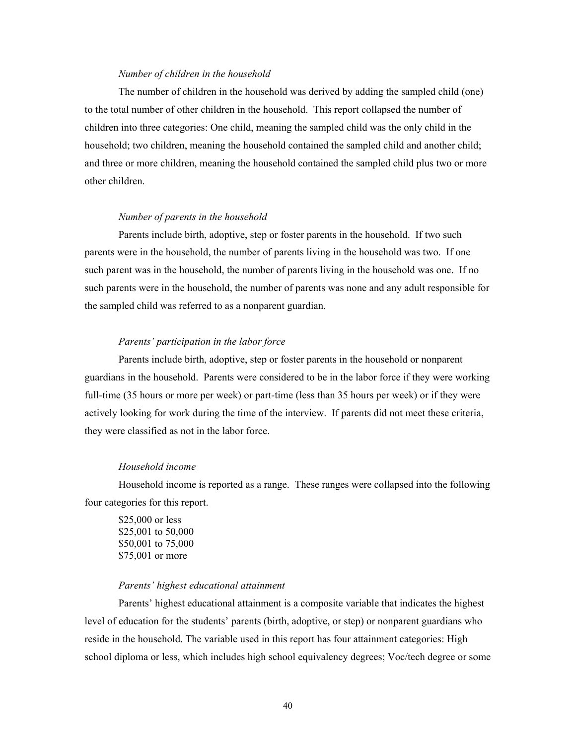## *Number of children in the household*

The number of children in the household was derived by adding the sampled child (one) to the total number of other children in the household. This report collapsed the number of children into three categories: One child, meaning the sampled child was the only child in the household; two children, meaning the household contained the sampled child and another child; and three or more children, meaning the household contained the sampled child plus two or more other children.

## *Number of parents in the household*

Parents include birth, adoptive, step or foster parents in the household. If two such parents were in the household, the number of parents living in the household was two. If one such parent was in the household, the number of parents living in the household was one. If no such parents were in the household, the number of parents was none and any adult responsible for the sampled child was referred to as a nonparent guardian.

## *Parents' participation in the labor force*

Parents include birth, adoptive, step or foster parents in the household or nonparent guardians in the household. Parents were considered to be in the labor force if they were working full-time (35 hours or more per week) or part-time (less than 35 hours per week) or if they were actively looking for work during the time of the interview. If parents did not meet these criteria, they were classified as not in the labor force.

# *Household income*

Household income is reported as a range. These ranges were collapsed into the following four categories for this report.

\$25,000 or less \$25,001 to 50,000 \$50,001 to 75,000 \$75,001 or more

### *Parents' highest educational attainment*

Parents' highest educational attainment is a composite variable that indicates the highest level of education for the students' parents (birth, adoptive, or step) or nonparent guardians who reside in the household. The variable used in this report has four attainment categories: High school diploma or less, which includes high school equivalency degrees; Voc/tech degree or some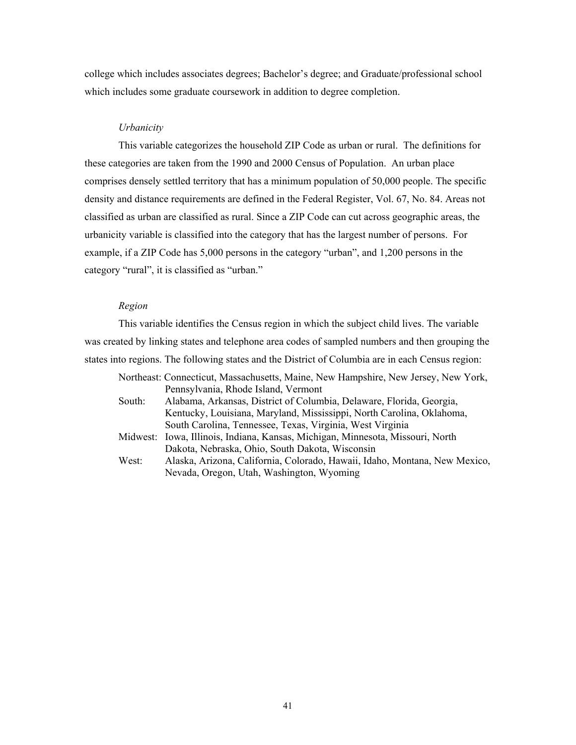college which includes associates degrees; Bachelor's degree; and Graduate/professional school which includes some graduate coursework in addition to degree completion.

## *Urbanicity*

 This variable categorizes the household ZIP Code as urban or rural. The definitions for these categories are taken from the 1990 and 2000 Census of Population. An urban place comprises densely settled territory that has a minimum population of 50,000 people. The specific density and distance requirements are defined in the Federal Register, Vol. 67, No. 84. Areas not classified as urban are classified as rural. Since a ZIP Code can cut across geographic areas, the urbanicity variable is classified into the category that has the largest number of persons. For example, if a ZIP Code has 5,000 persons in the category "urban", and 1,200 persons in the category "rural", it is classified as "urban."

# *Region*

 This variable identifies the Census region in which the subject child lives. The variable was created by linking states and telephone area codes of sampled numbers and then grouping the states into regions. The following states and the District of Columbia are in each Census region:

| Northeast: Connecticut, Massachusetts, Maine, New Hampshire, New Jersey, New York, |
|------------------------------------------------------------------------------------|
| Pennsylvania, Rhode Island, Vermont                                                |
| Alabama, Arkansas, District of Columbia, Delaware, Florida, Georgia,               |
| Kentucky, Louisiana, Maryland, Mississippi, North Carolina, Oklahoma,              |
| South Carolina, Tennessee, Texas, Virginia, West Virginia                          |
| Iowa, Illinois, Indiana, Kansas, Michigan, Minnesota, Missouri, North<br>Midwest:  |
| Dakota, Nebraska, Ohio, South Dakota, Wisconsin                                    |
| Alaska, Arizona, California, Colorado, Hawaii, Idaho, Montana, New Mexico,         |
| Nevada, Oregon, Utah, Washington, Wyoming                                          |
|                                                                                    |